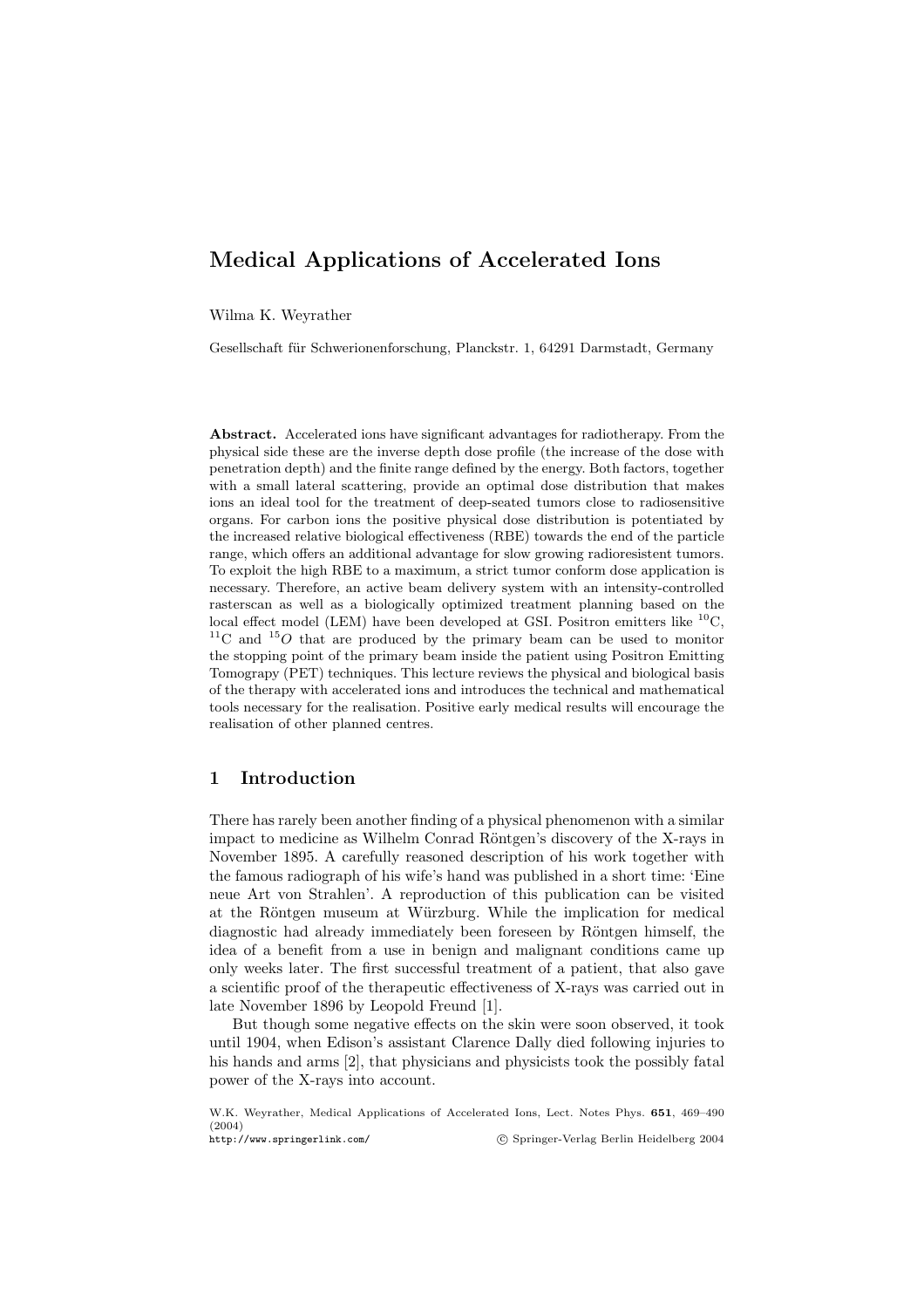# **Medical Applications of Accelerated Ions**

Wilma K. Weyrather

Gesellschaft für Schwerionenforschung, Planckstr. 1, 64291 Darmstadt, Germany

**Abstract.** Accelerated ions have significant advantages for radiotherapy. From the physical side these are the inverse depth dose profile (the increase of the dose with penetration depth) and the finite range defined by the energy. Both factors, together with a small lateral scattering, provide an optimal dose distribution that makes ions an ideal tool for the treatment of deep-seated tumors close to radiosensitive organs. For carbon ions the positive physical dose distribution is potentiated by the increased relative biological effectiveness (RBE) towards the end of the particle range, which offers an additional advantage for slow growing radioresistent tumors. To exploit the high RBE to a maximum, a strict tumor conform dose application is necessary. Therefore, an active beam delivery system with an intensity-controlled rasterscan as well as a biologically optimized treatment planning based on the local effect model (LEM) have been developed at GSI. Positron emitters like  ${}^{10}C$ ,  $11^1$ C and  $15^1$ O that are produced by the primary beam can be used to monitor the stopping point of the primary beam inside the patient using Positron Emitting Tomograpy (PET) techniques. This lecture reviews the physical and biological basis of the therapy with accelerated ions and introduces the technical and mathematical tools necessary for the realisation. Positive early medical results will encourage the realisation of other planned centres.

## **1 Introduction**

There has rarely been another finding of a physical phenomenon with a similar impact to medicine as Wilhelm Conrad Röntgen's discovery of the X-rays in November 1895. A carefully reasoned description of his work together with the famous radiograph of his wife's hand was published in a short time: 'Eine neue Art von Strahlen'. A reproduction of this publication can be visited at the Röntgen museum at Würzburg. While the implication for medical diagnostic had already immediately been foreseen by Röntgen himself, the idea of a benefit from a use in benign and malignant conditions came up only weeks later. The first successful treatment of a patient, that also gave a scientific proof of the therapeutic effectiveness of X-rays was carried out in late November 1896 by Leopold Freund [1].

But though some negative effects on the skin were soon observed, it took until 1904, when Edison's assistant Clarence Dally died following injuries to his hands and arms [2], that physicians and physicists took the possibly fatal power of the X-rays into account.

W.K. Weyrather, Medical Applications of Accelerated Ions, Lect. Notes Phys. **651**, 469–490 (2004) http://www.springerlink.com/ <sup>c</sup> Springer-Verlag Berlin Heidelberg 2004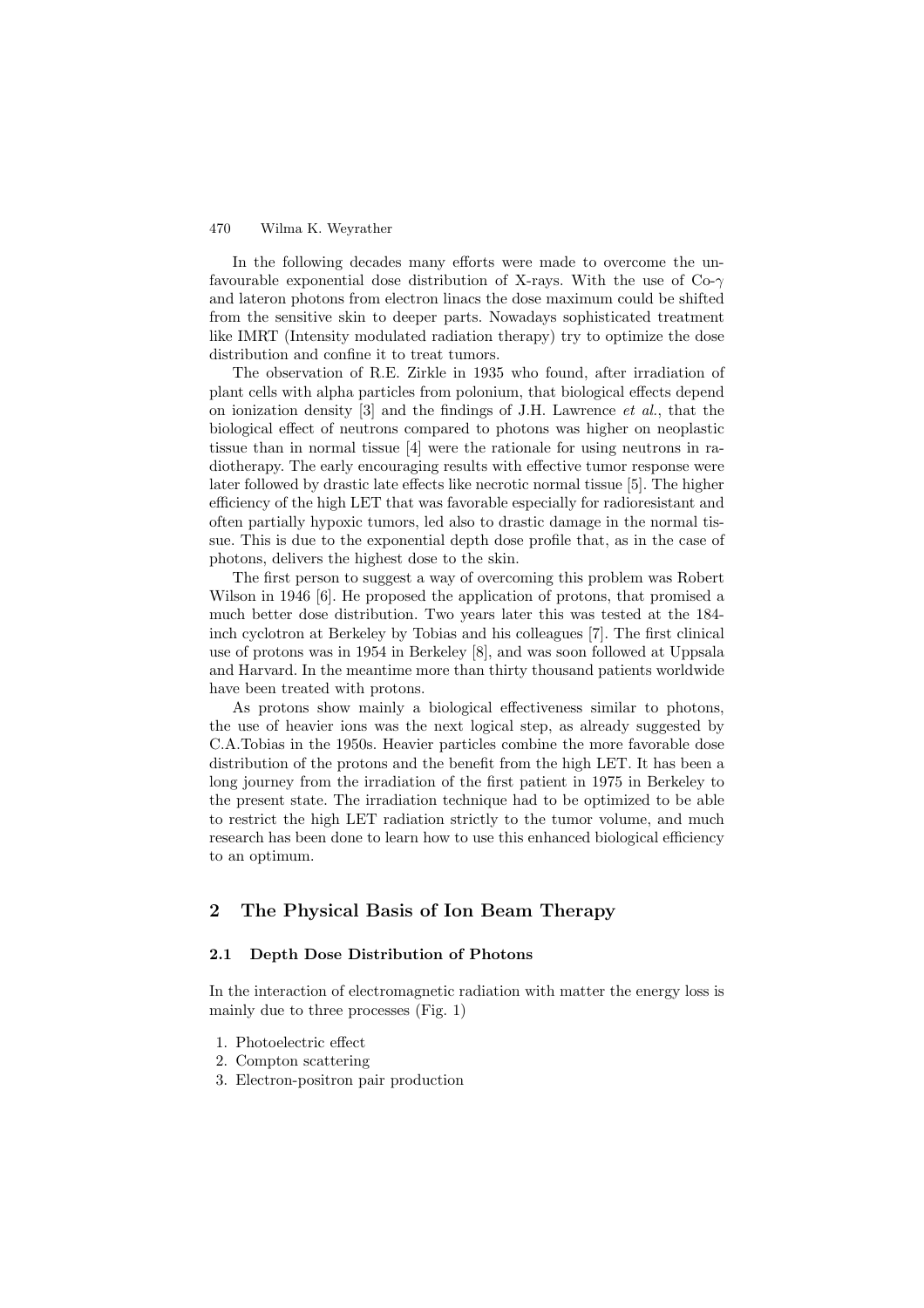In the following decades many efforts were made to overcome the unfavourable exponential dose distribution of X-rays. With the use of  $Co-γ$ and lateron photons from electron linacs the dose maximum could be shifted from the sensitive skin to deeper parts. Nowadays sophisticated treatment like IMRT (Intensity modulated radiation therapy) try to optimize the dose distribution and confine it to treat tumors.

The observation of R.E. Zirkle in 1935 who found, after irradiation of plant cells with alpha particles from polonium, that biological effects depend on ionization density [3] and the findings of J.H. Lawrence *et al.*, that the biological effect of neutrons compared to photons was higher on neoplastic tissue than in normal tissue [4] were the rationale for using neutrons in radiotherapy. The early encouraging results with effective tumor response were later followed by drastic late effects like necrotic normal tissue [5]. The higher efficiency of the high LET that was favorable especially for radioresistant and often partially hypoxic tumors, led also to drastic damage in the normal tissue. This is due to the exponential depth dose profile that, as in the case of photons, delivers the highest dose to the skin.

The first person to suggest a way of overcoming this problem was Robert Wilson in 1946 [6]. He proposed the application of protons, that promised a much better dose distribution. Two years later this was tested at the 184 inch cyclotron at Berkeley by Tobias and his colleagues [7]. The first clinical use of protons was in 1954 in Berkeley [8], and was soon followed at Uppsala and Harvard. In the meantime more than thirty thousand patients worldwide have been treated with protons.

As protons show mainly a biological effectiveness similar to photons, the use of heavier ions was the next logical step, as already suggested by C.A.Tobias in the 1950s. Heavier particles combine the more favorable dose distribution of the protons and the benefit from the high LET. It has been a long journey from the irradiation of the first patient in 1975 in Berkeley to the present state. The irradiation technique had to be optimized to be able to restrict the high LET radiation strictly to the tumor volume, and much research has been done to learn how to use this enhanced biological efficiency to an optimum.

# **2 The Physical Basis of Ion Beam Therapy**

# **2.1 Depth Dose Distribution of Photons**

In the interaction of electromagnetic radiation with matter the energy loss is mainly due to three processes (Fig. 1)

- 1. Photoelectric effect
- 2. Compton scattering
- 3. Electron-positron pair production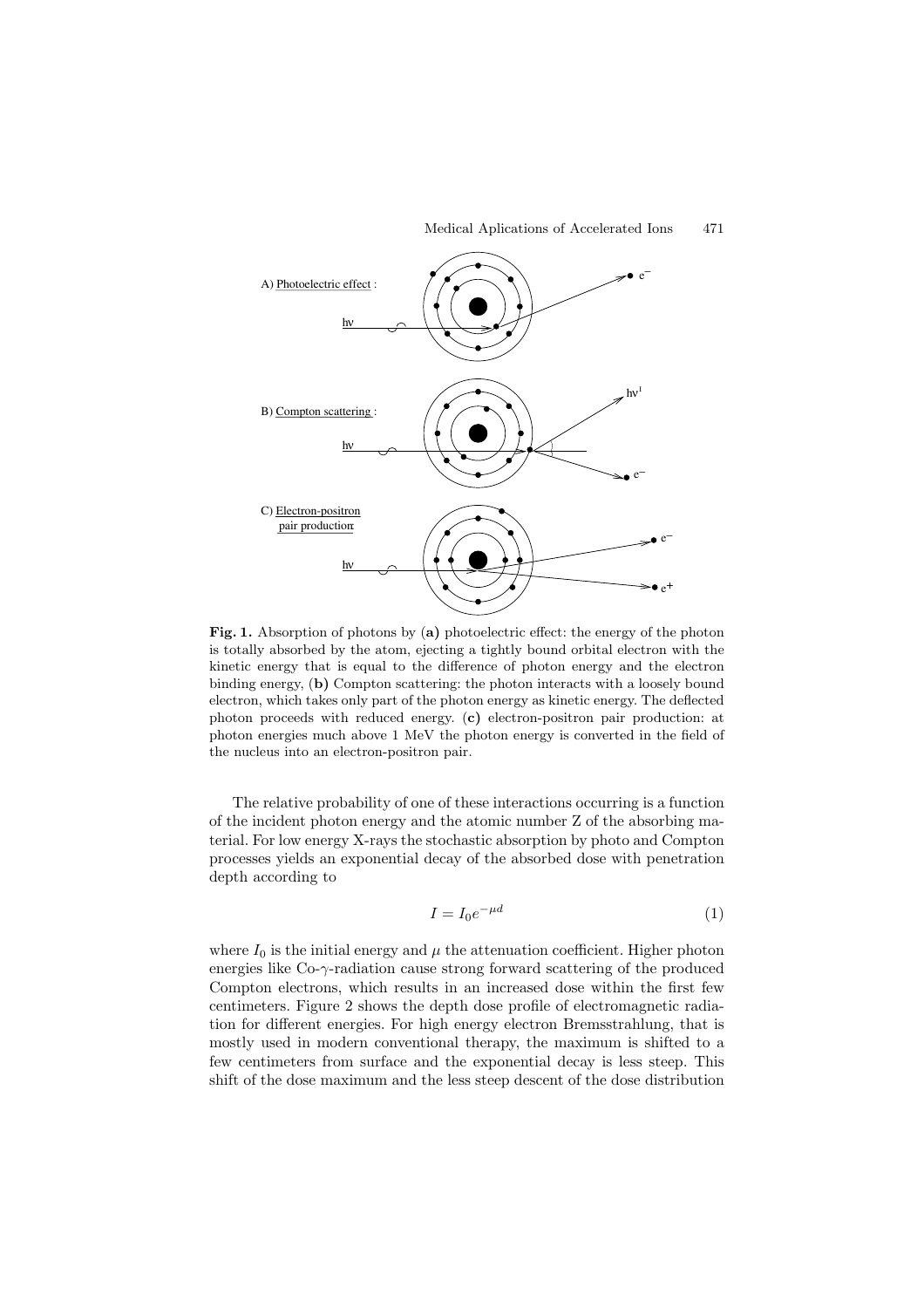

**Fig. 1.** Absorption of photons by (**a)** photoelectric effect: the energy of the photon is totally absorbed by the atom, ejecting a tightly bound orbital electron with the kinetic energy that is equal to the difference of photon energy and the electron binding energy, (**b)** Compton scattering: the photon interacts with a loosely bound electron, which takes only part of the photon energy as kinetic energy. The deflected photon proceeds with reduced energy. (**c)** electron-positron pair production: at photon energies much above 1 MeV the photon energy is converted in the field of the nucleus into an electron-positron pair.

The relative probability of one of these interactions occurring is a function of the incident photon energy and the atomic number Z of the absorbing material. For low energy X-rays the stochastic absorption by photo and Compton processes yields an exponential decay of the absorbed dose with penetration depth according to

$$
I = I_0 e^{-\mu d} \tag{1}
$$

where  $I_0$  is the initial energy and  $\mu$  the attenuation coefficient. Higher photon energies like Co-γ-radiation cause strong forward scattering of the produced Compton electrons, which results in an increased dose within the first few centimeters. Figure 2 shows the depth dose profile of electromagnetic radiation for different energies. For high energy electron Bremsstrahlung, that is mostly used in modern conventional therapy, the maximum is shifted to a few centimeters from surface and the exponential decay is less steep. This shift of the dose maximum and the less steep descent of the dose distribution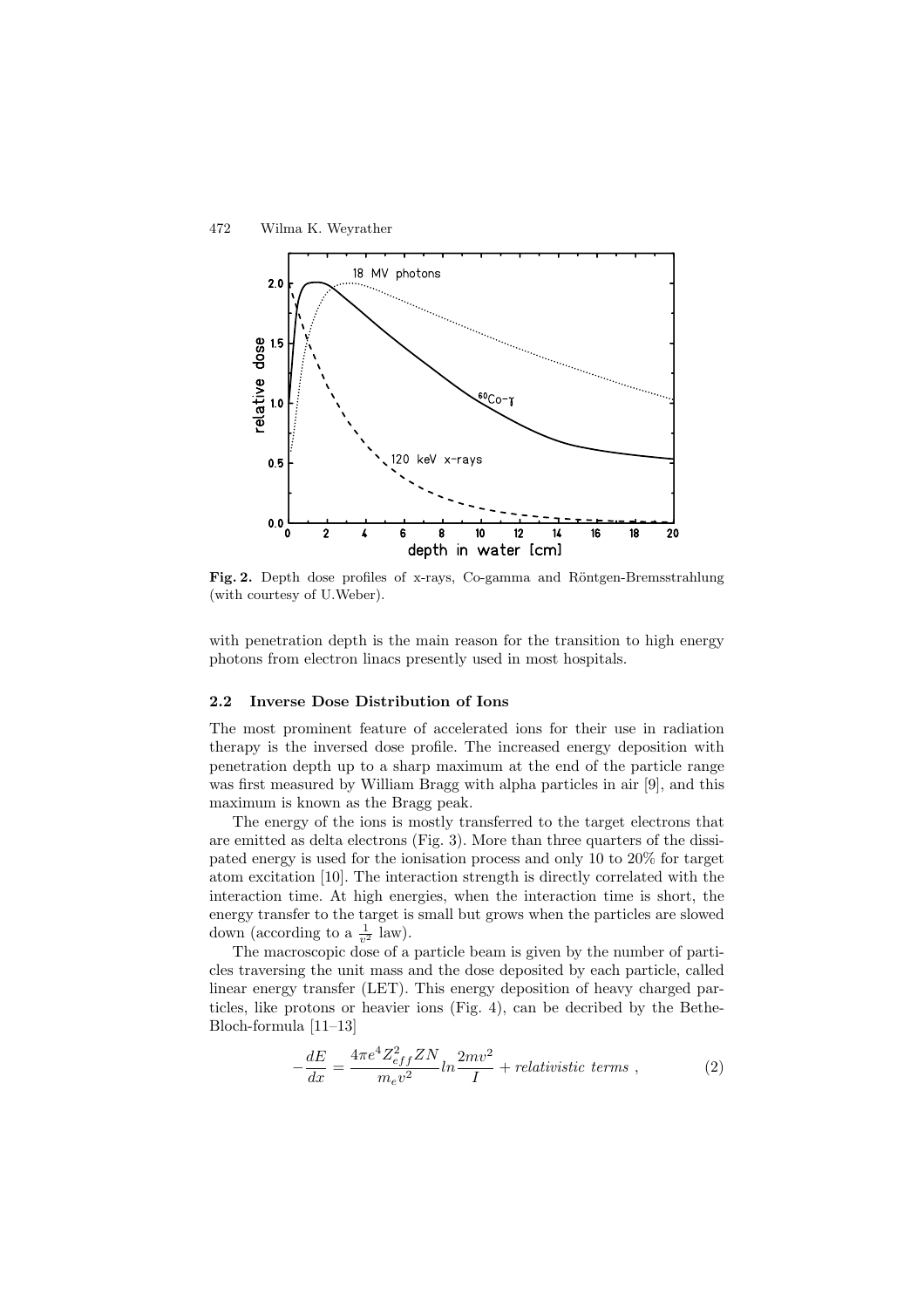

Fig. 2. Depth dose profiles of x-rays, Co-gamma and Röntgen-Bremsstrahlung (with courtesy of U.Weber).

with penetration depth is the main reason for the transition to high energy photons from electron linacs presently used in most hospitals.

### **2.2 Inverse Dose Distribution of Ions**

The most prominent feature of accelerated ions for their use in radiation therapy is the inversed dose profile. The increased energy deposition with penetration depth up to a sharp maximum at the end of the particle range was first measured by William Bragg with alpha particles in air [9], and this maximum is known as the Bragg peak.

The energy of the ions is mostly transferred to the target electrons that are emitted as delta electrons (Fig. 3). More than three quarters of the dissipated energy is used for the ionisation process and only 10 to 20% for target atom excitation [10]. The interaction strength is directly correlated with the interaction time. At high energies, when the interaction time is short, the energy transfer to the target is small but grows when the particles are slowed down (according to a  $\frac{1}{v^2}$  law).

The macroscopic dose of a particle beam is given by the number of particles traversing the unit mass and the dose deposited by each particle, called linear energy transfer (LET). This energy deposition of heavy charged particles, like protons or heavier ions (Fig. 4), can be decribed by the Bethe-Bloch-formula [11–13]

$$
-\frac{dE}{dx} = \frac{4\pi e^4 Z_{eff}^2 ZN}{m_e v^2} ln \frac{2mv^2}{I} + relativistic \ terms ,
$$
 (2)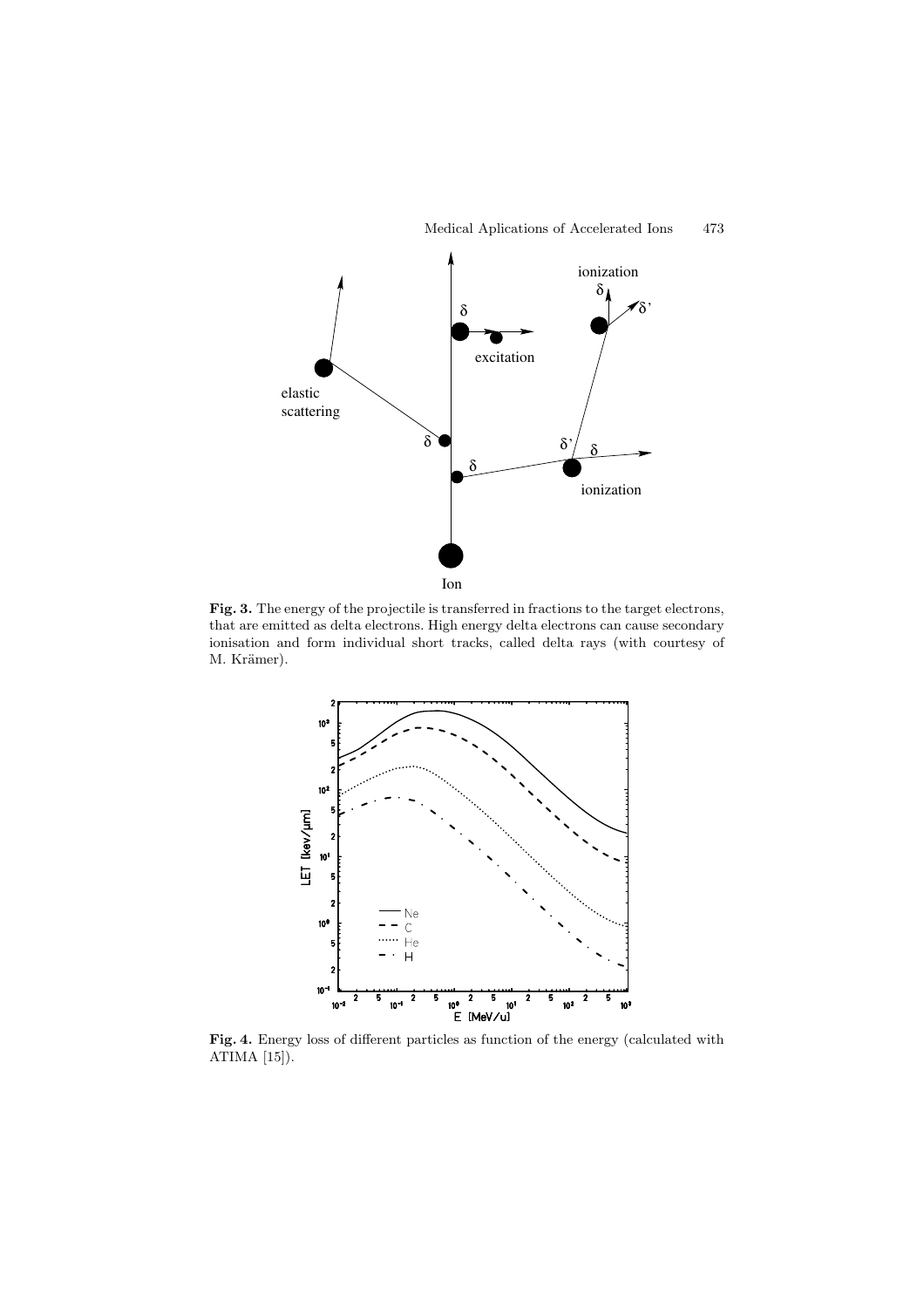

**Fig. 3.** The energy of the projectile is transferred in fractions to the target electrons, that are emitted as delta electrons. High energy delta electrons can cause secondary ionisation and form individual short tracks, called delta rays (with courtesy of M. Krämer).



**Fig. 4.** Energy loss of different particles as function of the energy (calculated with ATIMA [15]).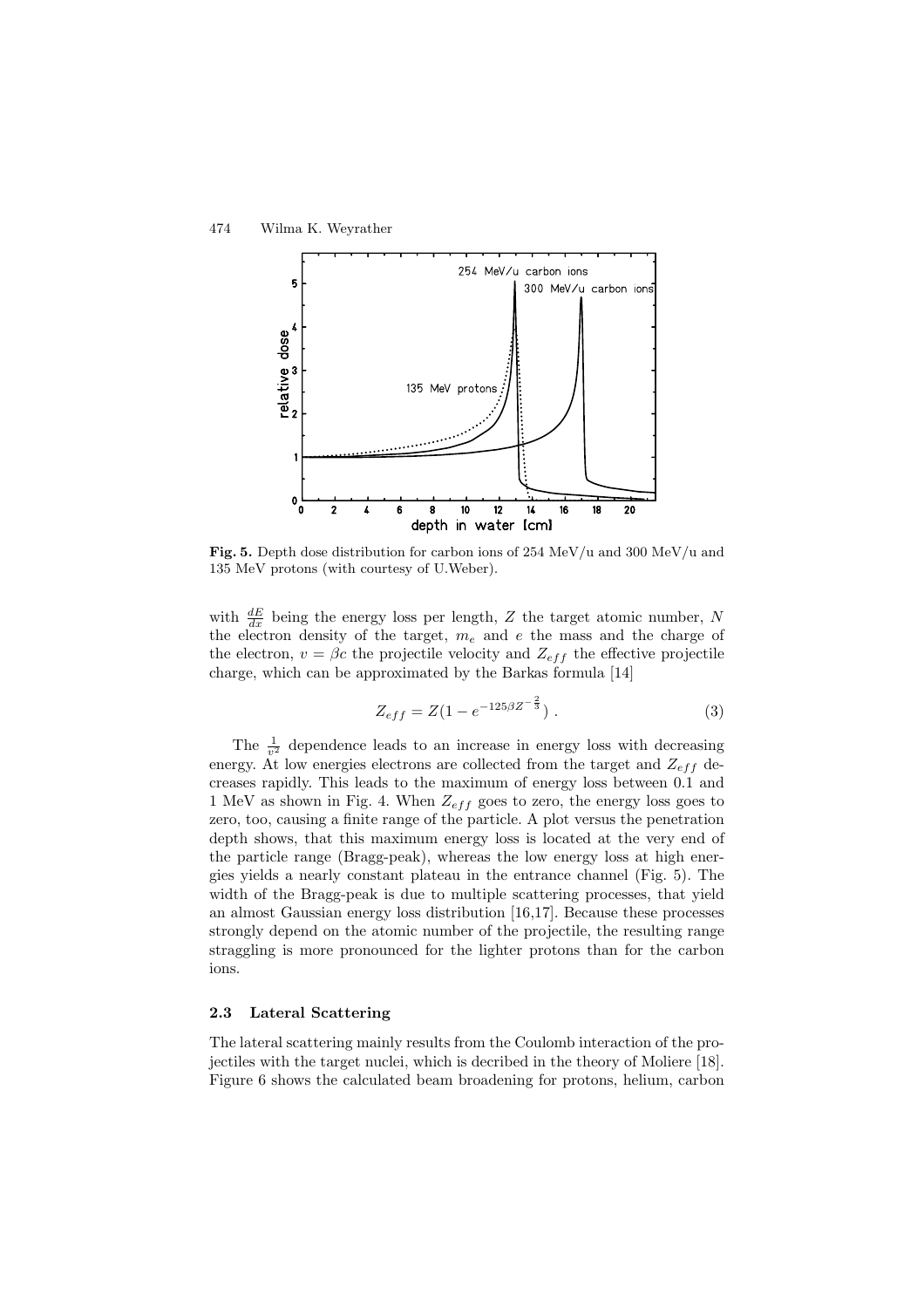

**Fig. 5.** Depth dose distribution for carbon ions of 254 MeV/u and 300 MeV/u and 135 MeV protons (with courtesy of U.Weber).

with  $\frac{dE}{dx}$  being the energy loss per length, Z the target atomic number, N the electron density of the target,  $m_e$  and e the mass and the charge of the electron,  $v = \beta c$  the projectile velocity and  $Z_{eff}$  the effective projectile charge, which can be approximated by the Barkas formula [14]

$$
Z_{eff} = Z(1 - e^{-125\beta Z^{-\frac{2}{3}}})\,. \tag{3}
$$

The  $\frac{1}{v^2}$  dependence leads to an increase in energy loss with decreasing energy. At low energies electrons are collected from the target and  $Z_{eff}$  decreases rapidly. This leads to the maximum of energy loss between 0.1 and 1 MeV as shown in Fig. 4. When  $Z_{eff}$  goes to zero, the energy loss goes to zero, too, causing a finite range of the particle. A plot versus the penetration depth shows, that this maximum energy loss is located at the very end of the particle range (Bragg-peak), whereas the low energy loss at high energies yields a nearly constant plateau in the entrance channel (Fig. 5). The width of the Bragg-peak is due to multiple scattering processes, that yield an almost Gaussian energy loss distribution [16,17]. Because these processes strongly depend on the atomic number of the projectile, the resulting range straggling is more pronounced for the lighter protons than for the carbon ions.

#### **2.3 Lateral Scattering**

The lateral scattering mainly results from the Coulomb interaction of the projectiles with the target nuclei, which is decribed in the theory of Moliere [18]. Figure 6 shows the calculated beam broadening for protons, helium, carbon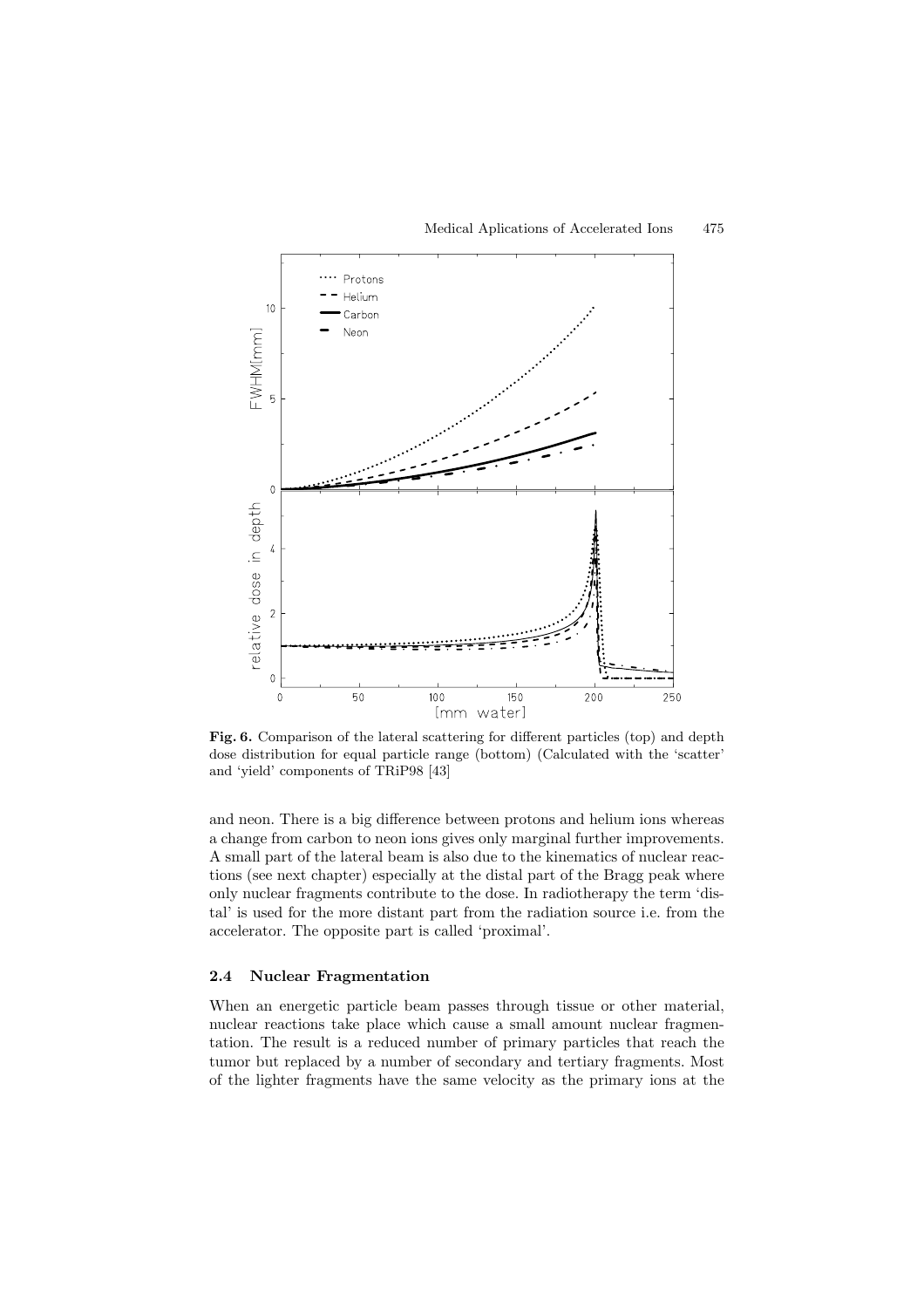

**Fig. 6.** Comparison of the lateral scattering for different particles (top) and depth dose distribution for equal particle range (bottom) (Calculated with the 'scatter' and 'yield' components of TRiP98 [43]

and neon. There is a big difference between protons and helium ions whereas a change from carbon to neon ions gives only marginal further improvements. A small part of the lateral beam is also due to the kinematics of nuclear reactions (see next chapter) especially at the distal part of the Bragg peak where only nuclear fragments contribute to the dose. In radiotherapy the term 'distal' is used for the more distant part from the radiation source i.e. from the accelerator. The opposite part is called 'proximal'.

#### **2.4 Nuclear Fragmentation**

When an energetic particle beam passes through tissue or other material, nuclear reactions take place which cause a small amount nuclear fragmentation. The result is a reduced number of primary particles that reach the tumor but replaced by a number of secondary and tertiary fragments. Most of the lighter fragments have the same velocity as the primary ions at the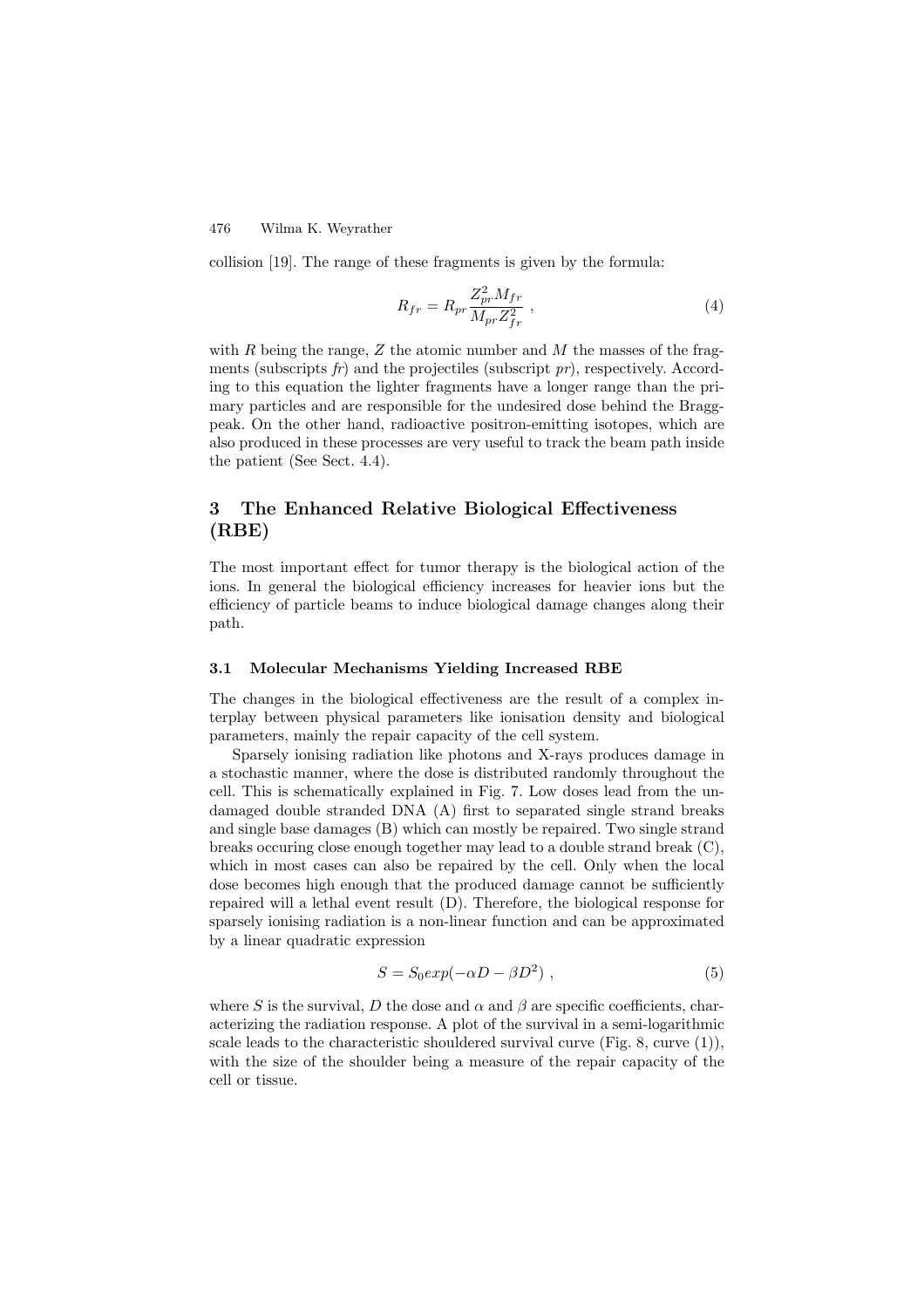collision [19]. The range of these fragments is given by the formula:

$$
R_{fr} = R_{pr} \frac{Z_{pr}^2 M_{fr}}{M_{pr} Z_{fr}^2} \,, \tag{4}
$$

with R being the range,  $Z$  the atomic number and  $M$  the masses of the fragments (subscripts *fr*) and the projectiles (subscript *pr*), respectively. According to this equation the lighter fragments have a longer range than the primary particles and are responsible for the undesired dose behind the Braggpeak. On the other hand, radioactive positron-emitting isotopes, which are also produced in these processes are very useful to track the beam path inside the patient (See Sect. 4.4).

# **3 The Enhanced Relative Biological Effectiveness (RBE)**

The most important effect for tumor therapy is the biological action of the ions. In general the biological efficiency increases for heavier ions but the efficiency of particle beams to induce biological damage changes along their path.

#### **3.1 Molecular Mechanisms Yielding Increased RBE**

The changes in the biological effectiveness are the result of a complex interplay between physical parameters like ionisation density and biological parameters, mainly the repair capacity of the cell system.

Sparsely ionising radiation like photons and X-rays produces damage in a stochastic manner, where the dose is distributed randomly throughout the cell. This is schematically explained in Fig. 7. Low doses lead from the undamaged double stranded DNA (A) first to separated single strand breaks and single base damages (B) which can mostly be repaired. Two single strand breaks occuring close enough together may lead to a double strand break (C), which in most cases can also be repaired by the cell. Only when the local dose becomes high enough that the produced damage cannot be sufficiently repaired will a lethal event result (D). Therefore, the biological response for sparsely ionising radiation is a non-linear function and can be approximated by a linear quadratic expression

$$
S = S_0 \exp(-\alpha D - \beta D^2) \tag{5}
$$

where S is the survival, D the dose and  $\alpha$  and  $\beta$  are specific coefficients, characterizing the radiation response. A plot of the survival in a semi-logarithmic scale leads to the characteristic shouldered survival curve (Fig. 8, curve (1)), with the size of the shoulder being a measure of the repair capacity of the cell or tissue.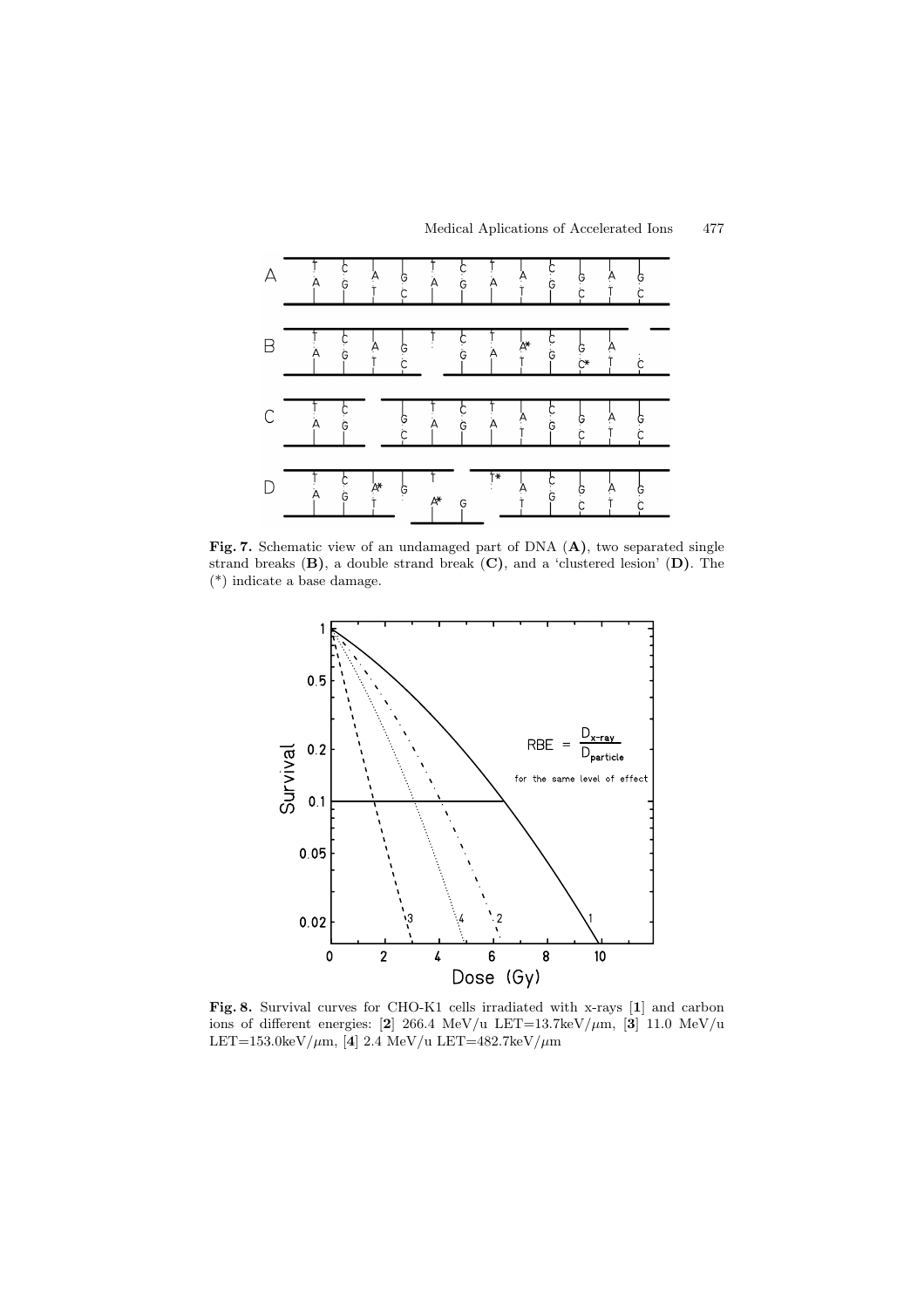

**Fig. 7.** Schematic view of an undamaged part of DNA (**A)**, two separated single strand breaks (**B)**, a double strand break (**C)**, and a 'clustered lesion' (**D)**. The (\*) indicate a base damage.



**Fig. 8.** Survival curves for CHO-K1 cells irradiated with x-rays [**1**] and carbon ions of different energies:  $[2]$  266.4 MeV/u LET=13.7keV/ $\mu$ m,  $[3]$  11.0 MeV/u LET=153.0keV/ $\mu$ m, [4] 2.4 MeV/u LET=482.7keV/ $\mu$ m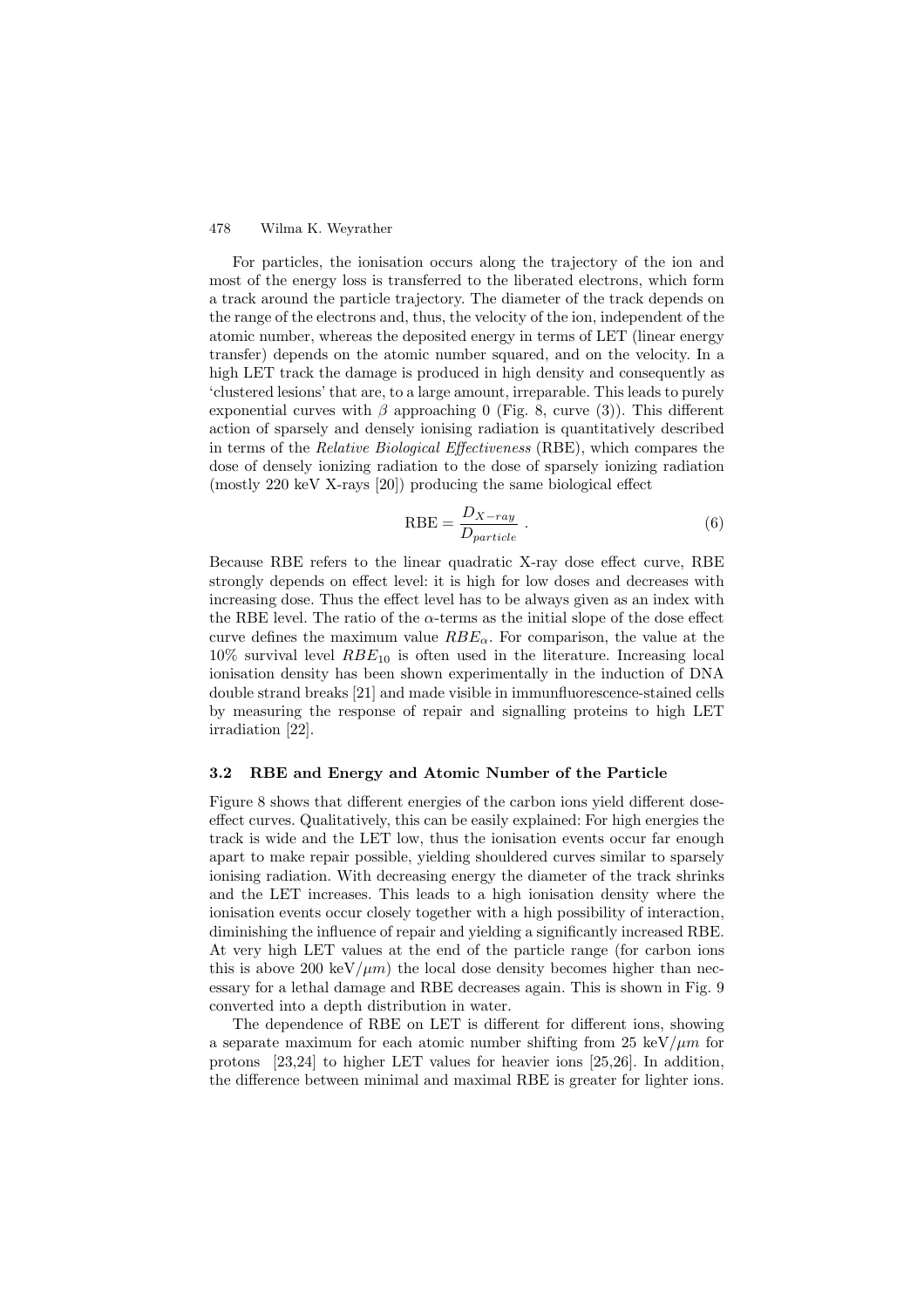For particles, the ionisation occurs along the trajectory of the ion and most of the energy loss is transferred to the liberated electrons, which form a track around the particle trajectory. The diameter of the track depends on the range of the electrons and, thus, the velocity of the ion, independent of the atomic number, whereas the deposited energy in terms of LET (linear energy transfer) depends on the atomic number squared, and on the velocity. In a high LET track the damage is produced in high density and consequently as 'clustered lesions' that are, to a large amount, irreparable. This leads to purely exponential curves with  $\beta$  approaching 0 (Fig. 8, curve (3)). This different action of sparsely and densely ionising radiation is quantitatively described in terms of the *Relative Biological Effectiveness* (RBE), which compares the dose of densely ionizing radiation to the dose of sparsely ionizing radiation (mostly 220 keV X-rays [20]) producing the same biological effect

$$
RBE = \frac{D_{X-ray}}{D_{particle}} \tag{6}
$$

Because RBE refers to the linear quadratic X-ray dose effect curve, RBE strongly depends on effect level: it is high for low doses and decreases with increasing dose. Thus the effect level has to be always given as an index with the RBE level. The ratio of the  $\alpha$ -terms as the initial slope of the dose effect curve defines the maximum value  $RBE_{\alpha}$ . For comparison, the value at the  $10\%$  survival level  $RBE_{10}$  is often used in the literature. Increasing local ionisation density has been shown experimentally in the induction of DNA double strand breaks [21] and made visible in immunfluorescence-stained cells by measuring the response of repair and signalling proteins to high LET irradiation [22].

#### **3.2 RBE and Energy and Atomic Number of the Particle**

Figure 8 shows that different energies of the carbon ions yield different doseeffect curves. Qualitatively, this can be easily explained: For high energies the track is wide and the LET low, thus the ionisation events occur far enough apart to make repair possible, yielding shouldered curves similar to sparsely ionising radiation. With decreasing energy the diameter of the track shrinks and the LET increases. This leads to a high ionisation density where the ionisation events occur closely together with a high possibility of interaction, diminishing the influence of repair and yielding a significantly increased RBE. At very high LET values at the end of the particle range (for carbon ions this is above 200 keV/ $\mu$ m) the local dose density becomes higher than necessary for a lethal damage and RBE decreases again. This is shown in Fig. 9 converted into a depth distribution in water.

The dependence of RBE on LET is different for different ions, showing a separate maximum for each atomic number shifting from 25 keV/ $\mu$ m for protons [23,24] to higher LET values for heavier ions [25,26]. In addition, the difference between minimal and maximal RBE is greater for lighter ions.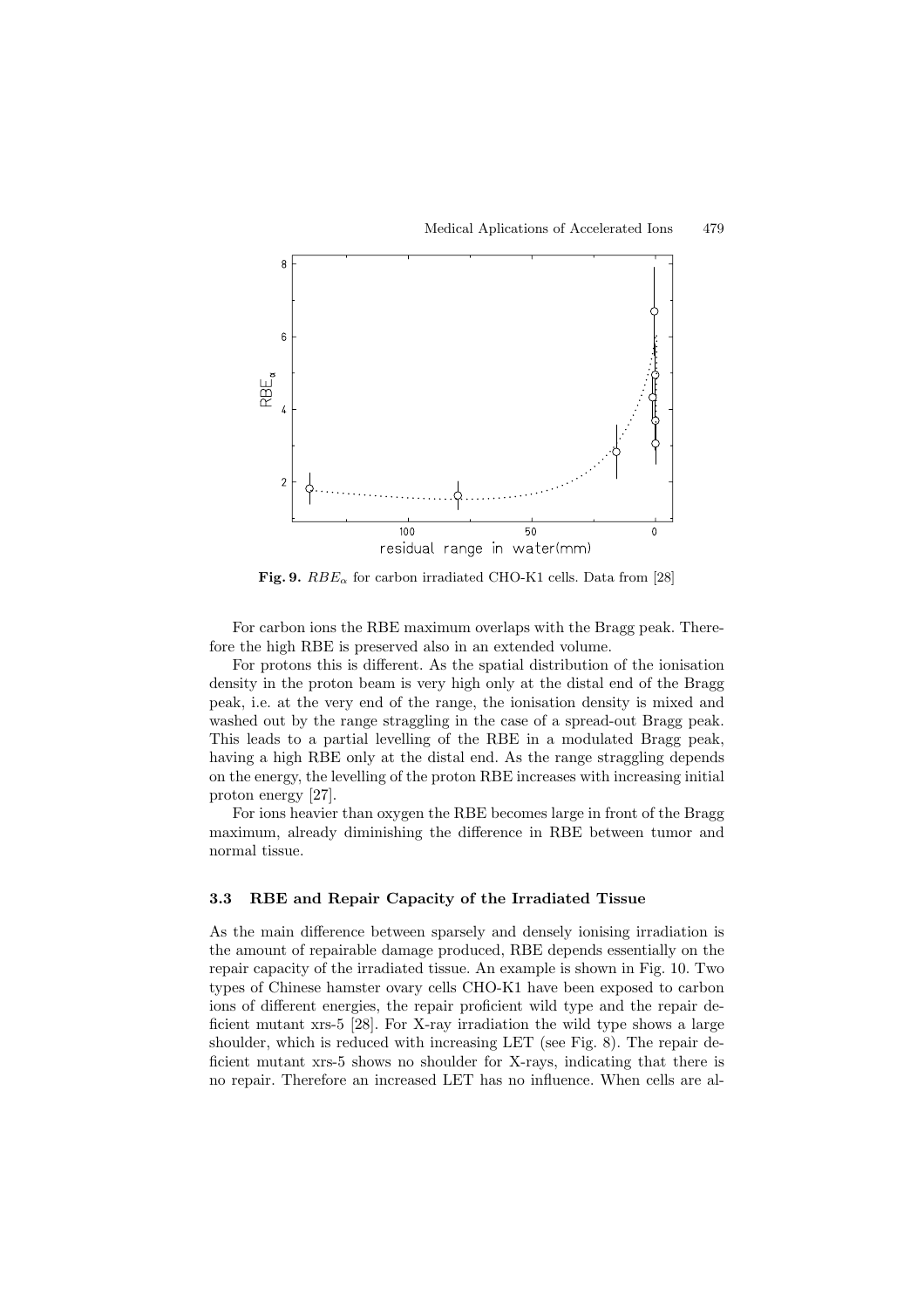

**Fig. 9.**  $RBE_{\alpha}$  for carbon irradiated CHO-K1 cells. Data from [28]

For carbon ions the RBE maximum overlaps with the Bragg peak. Therefore the high RBE is preserved also in an extended volume.

For protons this is different. As the spatial distribution of the ionisation density in the proton beam is very high only at the distal end of the Bragg peak, i.e. at the very end of the range, the ionisation density is mixed and washed out by the range straggling in the case of a spread-out Bragg peak. This leads to a partial levelling of the RBE in a modulated Bragg peak, having a high RBE only at the distal end. As the range straggling depends on the energy, the levelling of the proton RBE increases with increasing initial proton energy [27].

For ions heavier than oxygen the RBE becomes large in front of the Bragg maximum, already diminishing the difference in RBE between tumor and normal tissue.

#### **3.3 RBE and Repair Capacity of the Irradiated Tissue**

As the main difference between sparsely and densely ionising irradiation is the amount of repairable damage produced, RBE depends essentially on the repair capacity of the irradiated tissue. An example is shown in Fig. 10. Two types of Chinese hamster ovary cells CHO-K1 have been exposed to carbon ions of different energies, the repair proficient wild type and the repair deficient mutant xrs-5 [28]. For X-ray irradiation the wild type shows a large shoulder, which is reduced with increasing LET (see Fig. 8). The repair deficient mutant xrs-5 shows no shoulder for X-rays, indicating that there is no repair. Therefore an increased LET has no influence. When cells are al-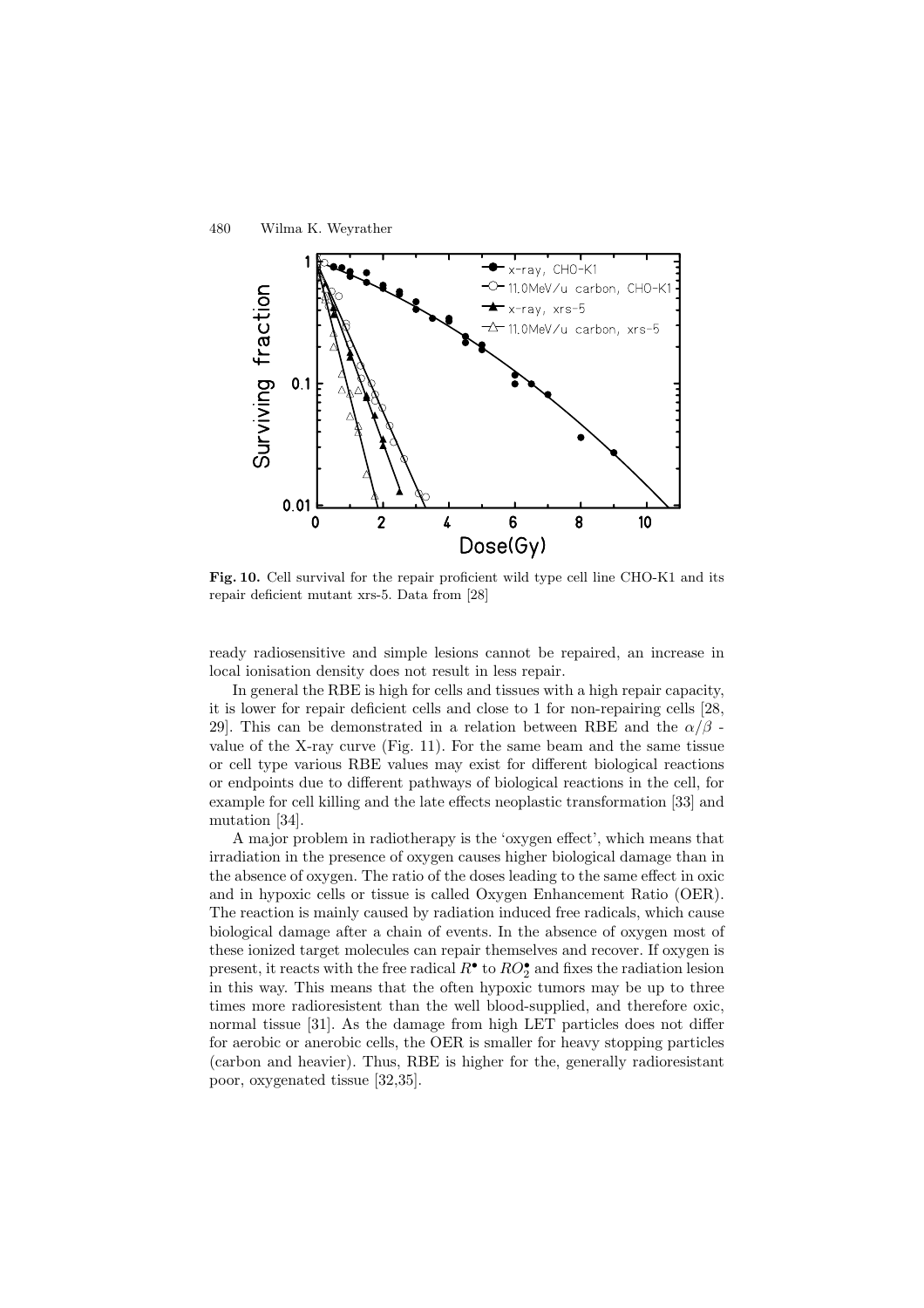

**Fig. 10.** Cell survival for the repair proficient wild type cell line CHO-K1 and its repair deficient mutant xrs-5. Data from [28]

ready radiosensitive and simple lesions cannot be repaired, an increase in local ionisation density does not result in less repair.

In general the RBE is high for cells and tissues with a high repair capacity, it is lower for repair deficient cells and close to 1 for non-repairing cells [28, 29. This can be demonstrated in a relation between RBE and the  $\alpha/\beta$ . value of the X-ray curve (Fig. 11). For the same beam and the same tissue or cell type various RBE values may exist for different biological reactions or endpoints due to different pathways of biological reactions in the cell, for example for cell killing and the late effects neoplastic transformation [33] and mutation [34].

A major problem in radiotherapy is the 'oxygen effect', which means that irradiation in the presence of oxygen causes higher biological damage than in the absence of oxygen. The ratio of the doses leading to the same effect in oxic and in hypoxic cells or tissue is called Oxygen Enhancement Ratio (OER). The reaction is mainly caused by radiation induced free radicals, which cause biological damage after a chain of events. In the absence of oxygen most of these ionized target molecules can repair themselves and recover. If oxygen is present, it reacts with the free radical  $R^{\bullet}$  to  $RO^{\bullet}_2$  and fixes the radiation lesion in this way. This means that the often hypoxic tumors may be up to three times more radioresistent than the well blood-supplied, and therefore oxic, normal tissue [31]. As the damage from high LET particles does not differ for aerobic or anerobic cells, the OER is smaller for heavy stopping particles (carbon and heavier). Thus, RBE is higher for the, generally radioresistant poor, oxygenated tissue [32,35].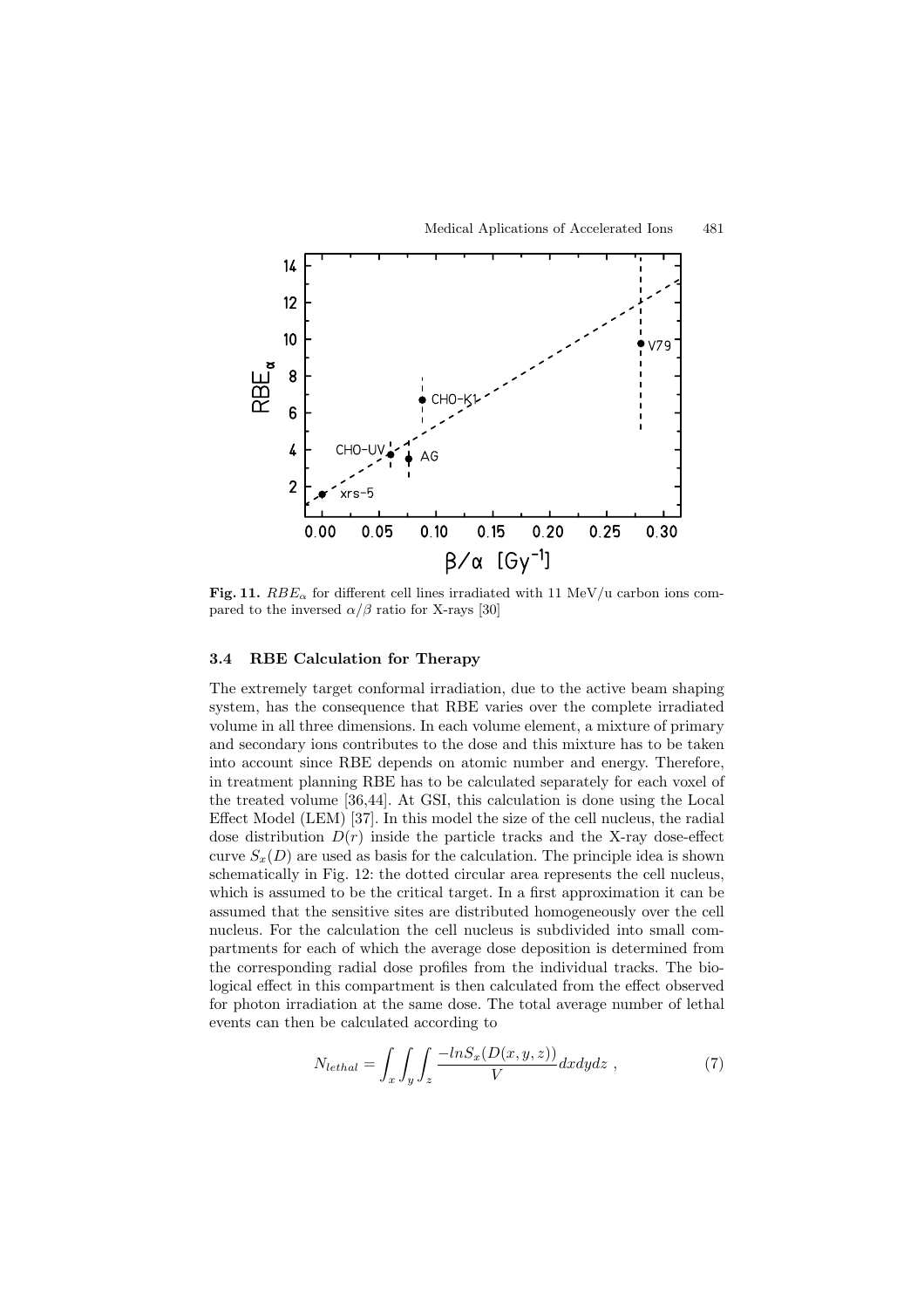

**Fig. 11.**  $RBE_{\alpha}$  for different cell lines irradiated with 11 MeV/u carbon ions compared to the inversed  $\alpha/\beta$  ratio for X-rays [30]

#### **3.4 RBE Calculation for Therapy**

The extremely target conformal irradiation, due to the active beam shaping system, has the consequence that RBE varies over the complete irradiated volume in all three dimensions. In each volume element, a mixture of primary and secondary ions contributes to the dose and this mixture has to be taken into account since RBE depends on atomic number and energy. Therefore, in treatment planning RBE has to be calculated separately for each voxel of the treated volume [36,44]. At GSI, this calculation is done using the Local Effect Model (LEM) [37]. In this model the size of the cell nucleus, the radial dose distribution  $D(r)$  inside the particle tracks and the X-ray dose-effect curve  $S_x(D)$  are used as basis for the calculation. The principle idea is shown schematically in Fig. 12: the dotted circular area represents the cell nucleus, which is assumed to be the critical target. In a first approximation it can be assumed that the sensitive sites are distributed homogeneously over the cell nucleus. For the calculation the cell nucleus is subdivided into small compartments for each of which the average dose deposition is determined from the corresponding radial dose profiles from the individual tracks. The biological effect in this compartment is then calculated from the effect observed for photon irradiation at the same dose. The total average number of lethal events can then be calculated according to

$$
N_{lethal} = \int_{x} \int_{y} \int_{z} \frac{-lnS_{x}(D(x,y,z))}{V} dx dy dz , \qquad (7)
$$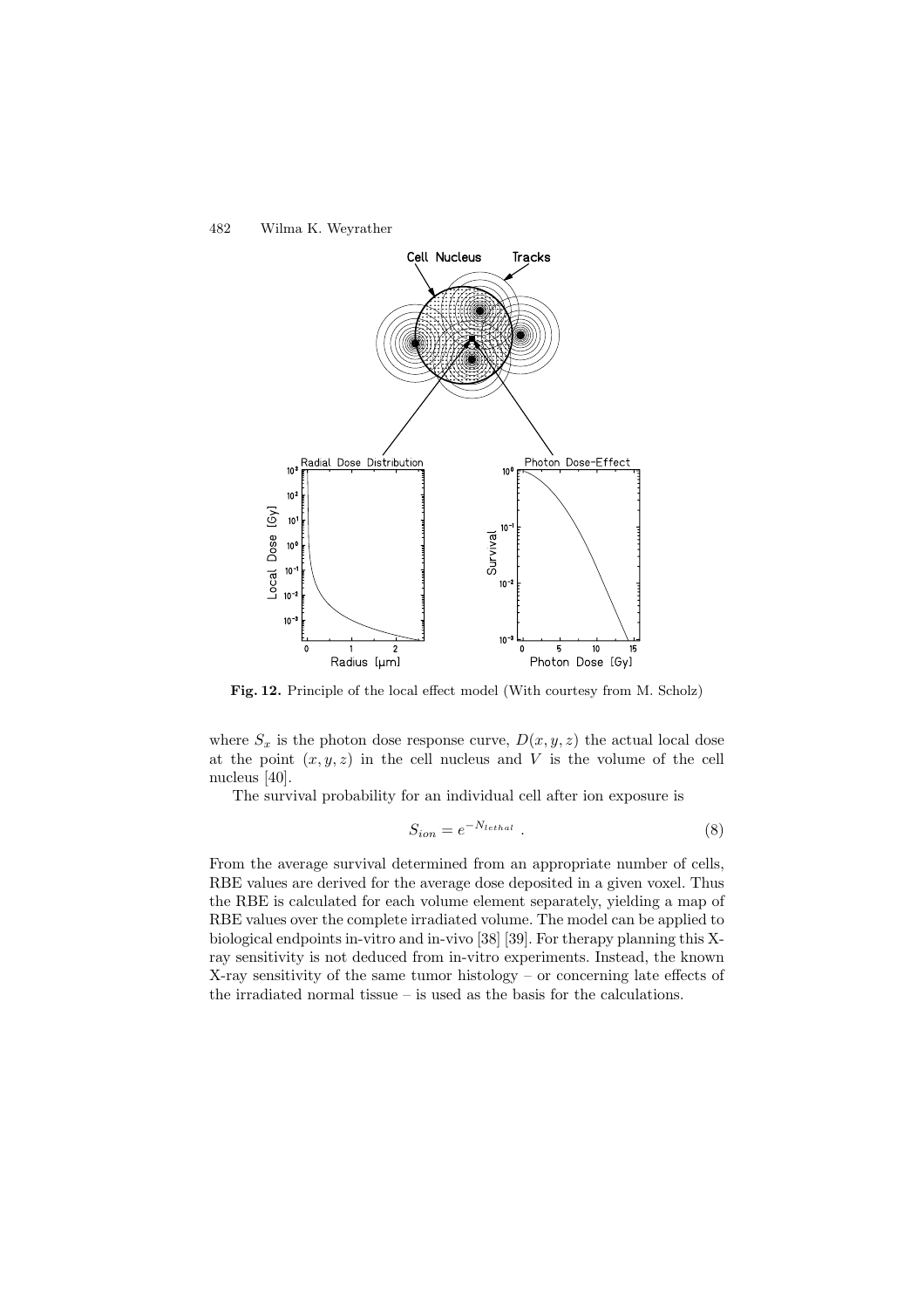

**Fig. 12.** Principle of the local effect model (With courtesy from M. Scholz)

where  $S_x$  is the photon dose response curve,  $D(x, y, z)$  the actual local dose at the point  $(x, y, z)$  in the cell nucleus and V is the volume of the cell nucleus [40].

The survival probability for an individual cell after ion exposure is

$$
S_{ion} = e^{-N_{lethal}} \t\t(8)
$$

From the average survival determined from an appropriate number of cells, RBE values are derived for the average dose deposited in a given voxel. Thus the RBE is calculated for each volume element separately, yielding a map of RBE values over the complete irradiated volume. The model can be applied to biological endpoints in-vitro and in-vivo [38] [39]. For therapy planning this Xray sensitivity is not deduced from in-vitro experiments. Instead, the known X-ray sensitivity of the same tumor histology – or concerning late effects of the irradiated normal tissue – is used as the basis for the calculations.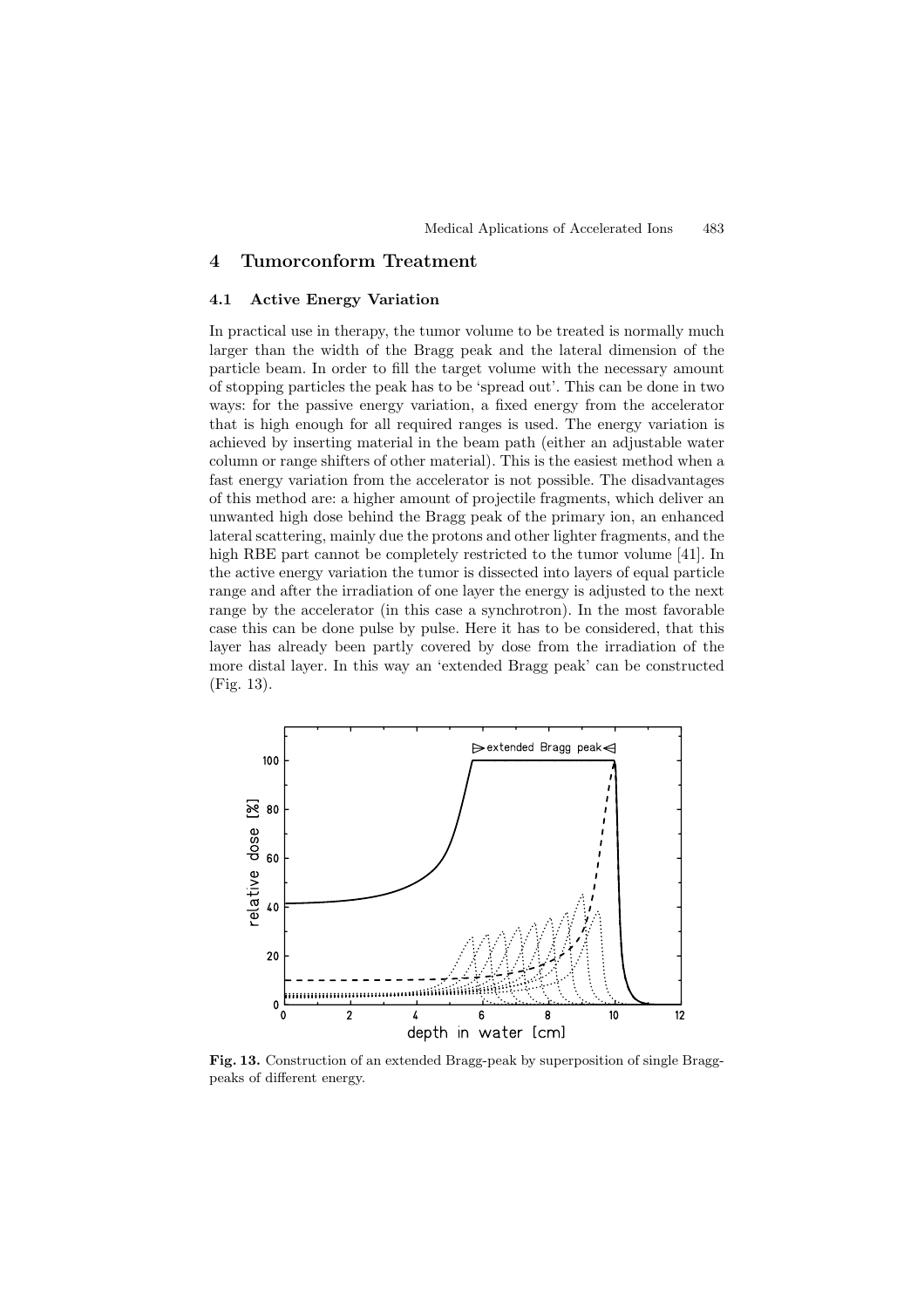## **4 Tumorconform Treatment**

#### **4.1 Active Energy Variation**

In practical use in therapy, the tumor volume to be treated is normally much larger than the width of the Bragg peak and the lateral dimension of the particle beam. In order to fill the target volume with the necessary amount of stopping particles the peak has to be 'spread out'. This can be done in two ways: for the passive energy variation, a fixed energy from the accelerator that is high enough for all required ranges is used. The energy variation is achieved by inserting material in the beam path (either an adjustable water column or range shifters of other material). This is the easiest method when a fast energy variation from the accelerator is not possible. The disadvantages of this method are: a higher amount of projectile fragments, which deliver an unwanted high dose behind the Bragg peak of the primary ion, an enhanced lateral scattering, mainly due the protons and other lighter fragments, and the high RBE part cannot be completely restricted to the tumor volume [41]. In the active energy variation the tumor is dissected into layers of equal particle range and after the irradiation of one layer the energy is adjusted to the next range by the accelerator (in this case a synchrotron). In the most favorable case this can be done pulse by pulse. Here it has to be considered, that this layer has already been partly covered by dose from the irradiation of the more distal layer. In this way an 'extended Bragg peak' can be constructed (Fig. 13).



**Fig. 13.** Construction of an extended Bragg-peak by superposition of single Braggpeaks of different energy.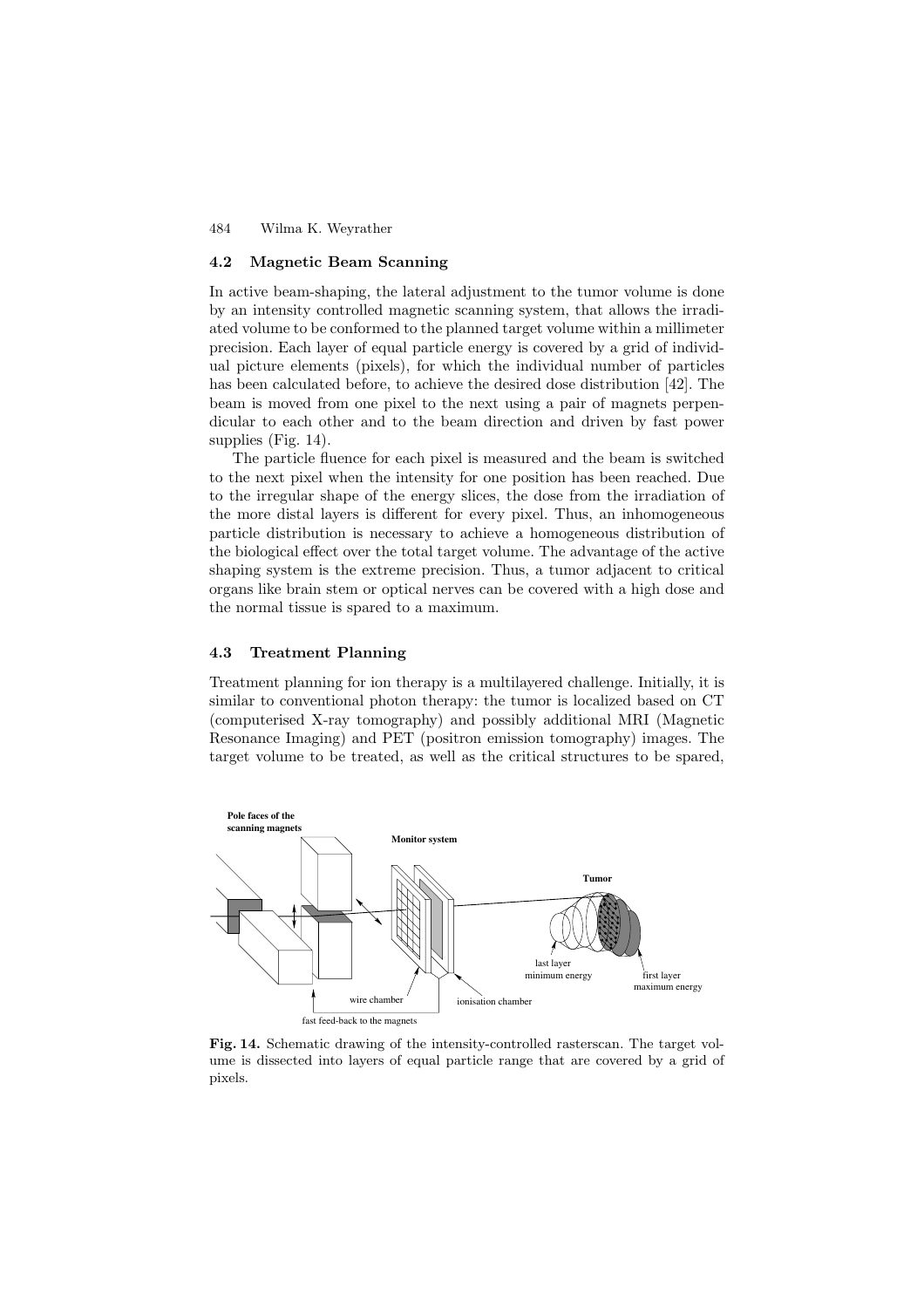## **4.2 Magnetic Beam Scanning**

In active beam-shaping, the lateral adjustment to the tumor volume is done by an intensity controlled magnetic scanning system, that allows the irradiated volume to be conformed to the planned target volume within a millimeter precision. Each layer of equal particle energy is covered by a grid of individual picture elements (pixels), for which the individual number of particles has been calculated before, to achieve the desired dose distribution [42]. The beam is moved from one pixel to the next using a pair of magnets perpendicular to each other and to the beam direction and driven by fast power supplies (Fig. 14).

The particle fluence for each pixel is measured and the beam is switched to the next pixel when the intensity for one position has been reached. Due to the irregular shape of the energy slices, the dose from the irradiation of the more distal layers is different for every pixel. Thus, an inhomogeneous particle distribution is necessary to achieve a homogeneous distribution of the biological effect over the total target volume. The advantage of the active shaping system is the extreme precision. Thus, a tumor adjacent to critical organs like brain stem or optical nerves can be covered with a high dose and the normal tissue is spared to a maximum.

## **4.3 Treatment Planning**

Treatment planning for ion therapy is a multilayered challenge. Initially, it is similar to conventional photon therapy: the tumor is localized based on CT (computerised X-ray tomography) and possibly additional MRI (Magnetic Resonance Imaging) and PET (positron emission tomography) images. The target volume to be treated, as well as the critical structures to be spared,



**Fig. 14.** Schematic drawing of the intensity-controlled rasterscan. The target volume is dissected into layers of equal particle range that are covered by a grid of pixels.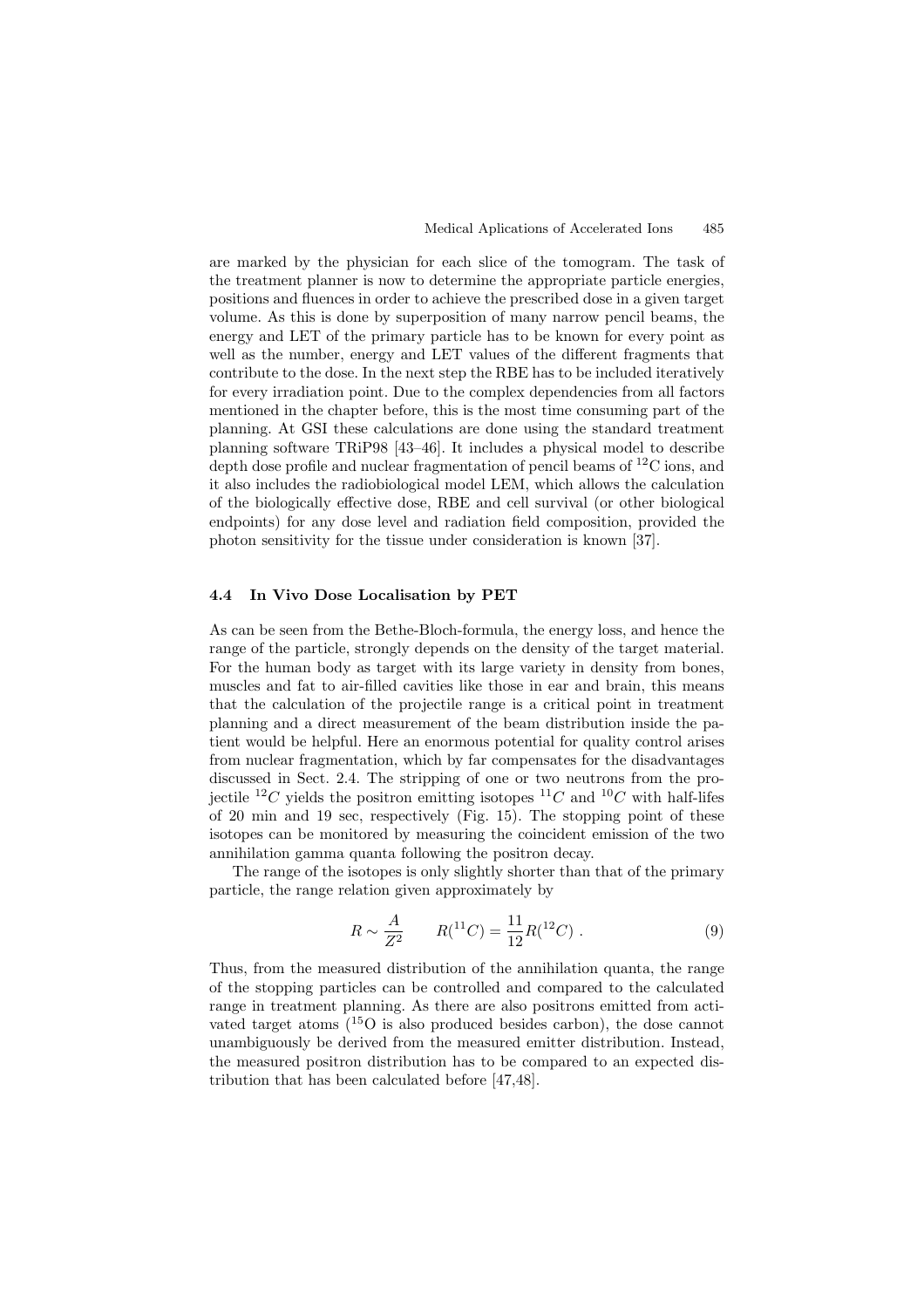are marked by the physician for each slice of the tomogram. The task of the treatment planner is now to determine the appropriate particle energies, positions and fluences in order to achieve the prescribed dose in a given target volume. As this is done by superposition of many narrow pencil beams, the energy and LET of the primary particle has to be known for every point as well as the number, energy and LET values of the different fragments that contribute to the dose. In the next step the RBE has to be included iteratively for every irradiation point. Due to the complex dependencies from all factors mentioned in the chapter before, this is the most time consuming part of the planning. At GSI these calculations are done using the standard treatment planning software TRiP98 [43–46]. It includes a physical model to describe depth dose profile and nuclear fragmentation of pencil beams of  ${}^{12}C$  ions, and it also includes the radiobiological model LEM, which allows the calculation of the biologically effective dose, RBE and cell survival (or other biological endpoints) for any dose level and radiation field composition, provided the photon sensitivity for the tissue under consideration is known [37].

#### **4.4 In Vivo Dose Localisation by PET**

As can be seen from the Bethe-Bloch-formula, the energy loss, and hence the range of the particle, strongly depends on the density of the target material. For the human body as target with its large variety in density from bones, muscles and fat to air-filled cavities like those in ear and brain, this means that the calculation of the projectile range is a critical point in treatment planning and a direct measurement of the beam distribution inside the patient would be helpful. Here an enormous potential for quality control arises from nuclear fragmentation, which by far compensates for the disadvantages discussed in Sect. 2.4. The stripping of one or two neutrons from the projectile <sup>12</sup>C yields the positron emitting isotopes <sup>11</sup>C and <sup>10</sup>C with half-lifes of 20 min and 19 sec, respectively (Fig. 15). The stopping point of these isotopes can be monitored by measuring the coincident emission of the two annihilation gamma quanta following the positron decay.

The range of the isotopes is only slightly shorter than that of the primary particle, the range relation given approximately by

$$
R \sim \frac{A}{Z^2} \qquad R(^{11}C) = \frac{11}{12} R(^{12}C) \ . \tag{9}
$$

Thus, from the measured distribution of the annihilation quanta, the range of the stopping particles can be controlled and compared to the calculated range in treatment planning. As there are also positrons emitted from activated target atoms  $(^{15}O$  is also produced besides carbon), the dose cannot unambiguously be derived from the measured emitter distribution. Instead, the measured positron distribution has to be compared to an expected distribution that has been calculated before [47,48].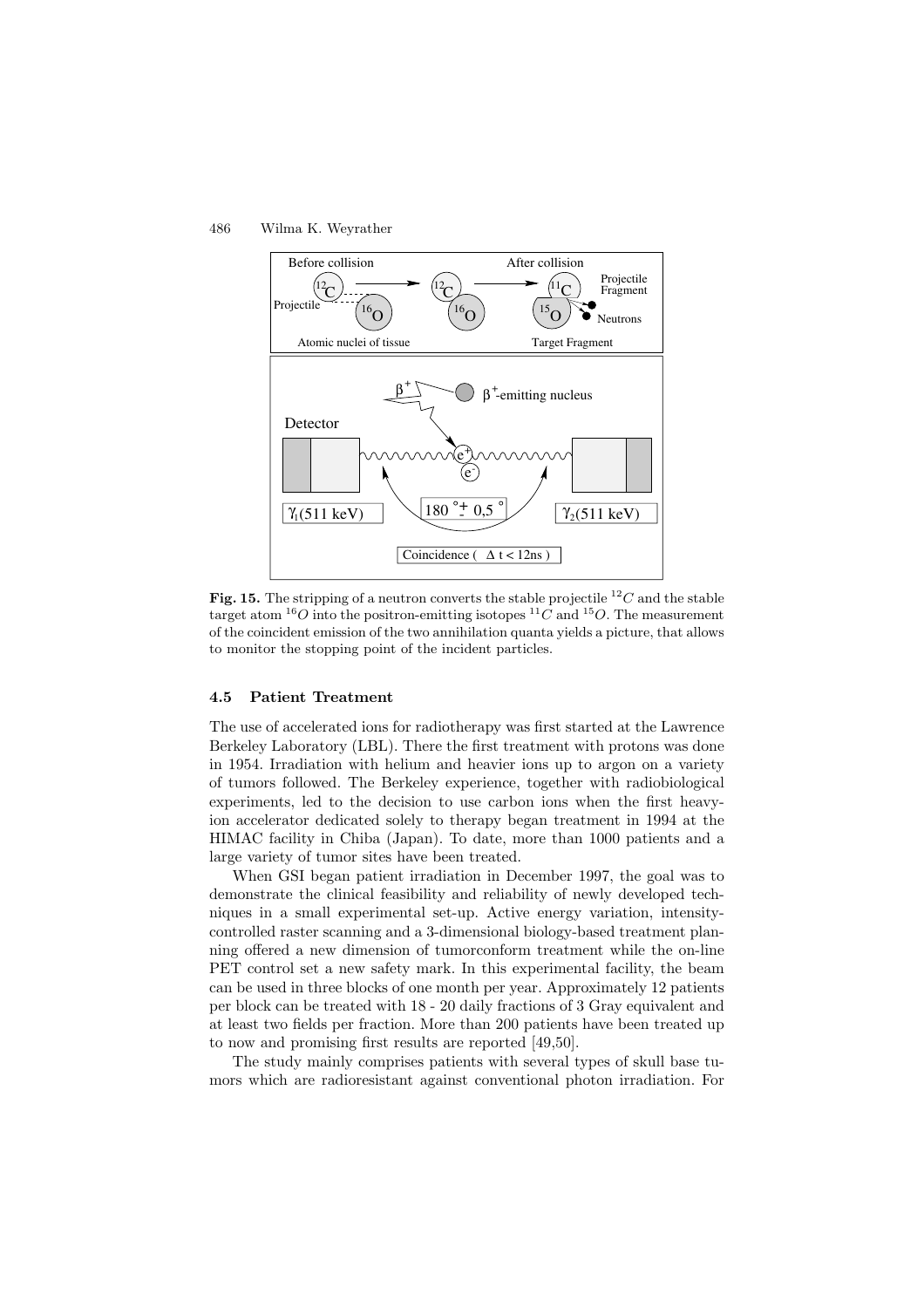

**Fig. 15.** The stripping of a neutron converts the stable projectile  $^{12}C$  and the stable target atom <sup>16</sup>O into the positron-emitting isotopes  ${}^{11}C$  and  ${}^{15}O$ . The measurement of the coincident emission of the two annihilation quanta yields a picture, that allows to monitor the stopping point of the incident particles.

## **4.5 Patient Treatment**

The use of accelerated ions for radiotherapy was first started at the Lawrence Berkeley Laboratory (LBL). There the first treatment with protons was done in 1954. Irradiation with helium and heavier ions up to argon on a variety of tumors followed. The Berkeley experience, together with radiobiological experiments, led to the decision to use carbon ions when the first heavyion accelerator dedicated solely to therapy began treatment in 1994 at the HIMAC facility in Chiba (Japan). To date, more than 1000 patients and a large variety of tumor sites have been treated.

When GSI began patient irradiation in December 1997, the goal was to demonstrate the clinical feasibility and reliability of newly developed techniques in a small experimental set-up. Active energy variation, intensitycontrolled raster scanning and a 3-dimensional biology-based treatment planning offered a new dimension of tumorconform treatment while the on-line PET control set a new safety mark. In this experimental facility, the beam can be used in three blocks of one month per year. Approximately 12 patients per block can be treated with 18 - 20 daily fractions of 3 Gray equivalent and at least two fields per fraction. More than 200 patients have been treated up to now and promising first results are reported [49,50].

The study mainly comprises patients with several types of skull base tumors which are radioresistant against conventional photon irradiation. For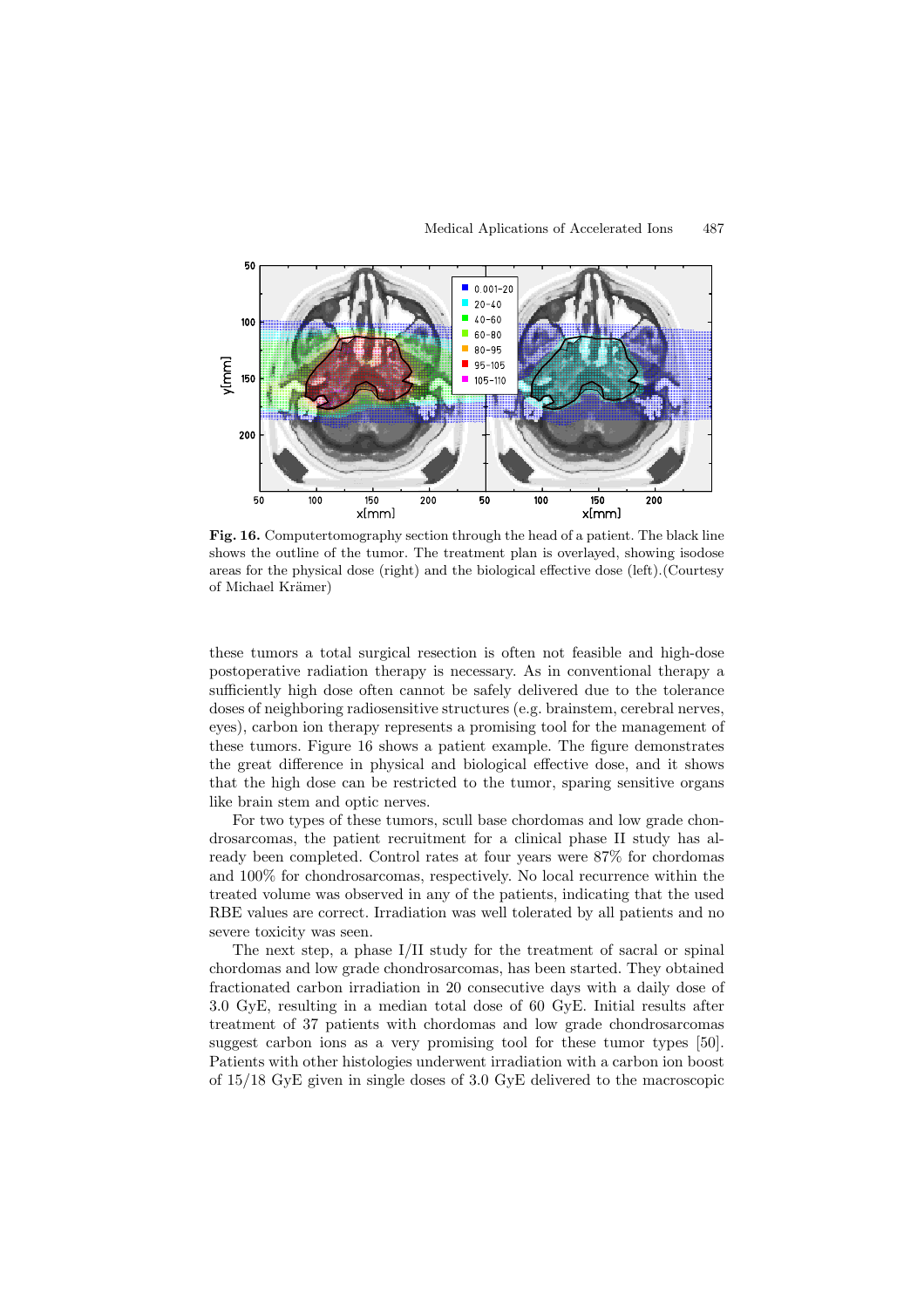

**Fig. 16.** Computertomography section through the head of a patient. The black line shows the outline of the tumor. The treatment plan is overlayed, showing isodose areas for the physical dose (right) and the biological effective dose (left).(Courtesy of Michael Krämer)

these tumors a total surgical resection is often not feasible and high-dose postoperative radiation therapy is necessary. As in conventional therapy a sufficiently high dose often cannot be safely delivered due to the tolerance doses of neighboring radiosensitive structures (e.g. brainstem, cerebral nerves, eyes), carbon ion therapy represents a promising tool for the management of these tumors. Figure 16 shows a patient example. The figure demonstrates the great difference in physical and biological effective dose, and it shows that the high dose can be restricted to the tumor, sparing sensitive organs like brain stem and optic nerves.

For two types of these tumors, scull base chordomas and low grade chondrosarcomas, the patient recruitment for a clinical phase II study has already been completed. Control rates at four years were 87% for chordomas and 100% for chondrosarcomas, respectively. No local recurrence within the treated volume was observed in any of the patients, indicating that the used RBE values are correct. Irradiation was well tolerated by all patients and no severe toxicity was seen.

The next step, a phase I/II study for the treatment of sacral or spinal chordomas and low grade chondrosarcomas, has been started. They obtained fractionated carbon irradiation in 20 consecutive days with a daily dose of 3.0 GyE, resulting in a median total dose of 60 GyE. Initial results after treatment of 37 patients with chordomas and low grade chondrosarcomas suggest carbon ions as a very promising tool for these tumor types [50]. Patients with other histologies underwent irradiation with a carbon ion boost of 15/18 GyE given in single doses of 3.0 GyE delivered to the macroscopic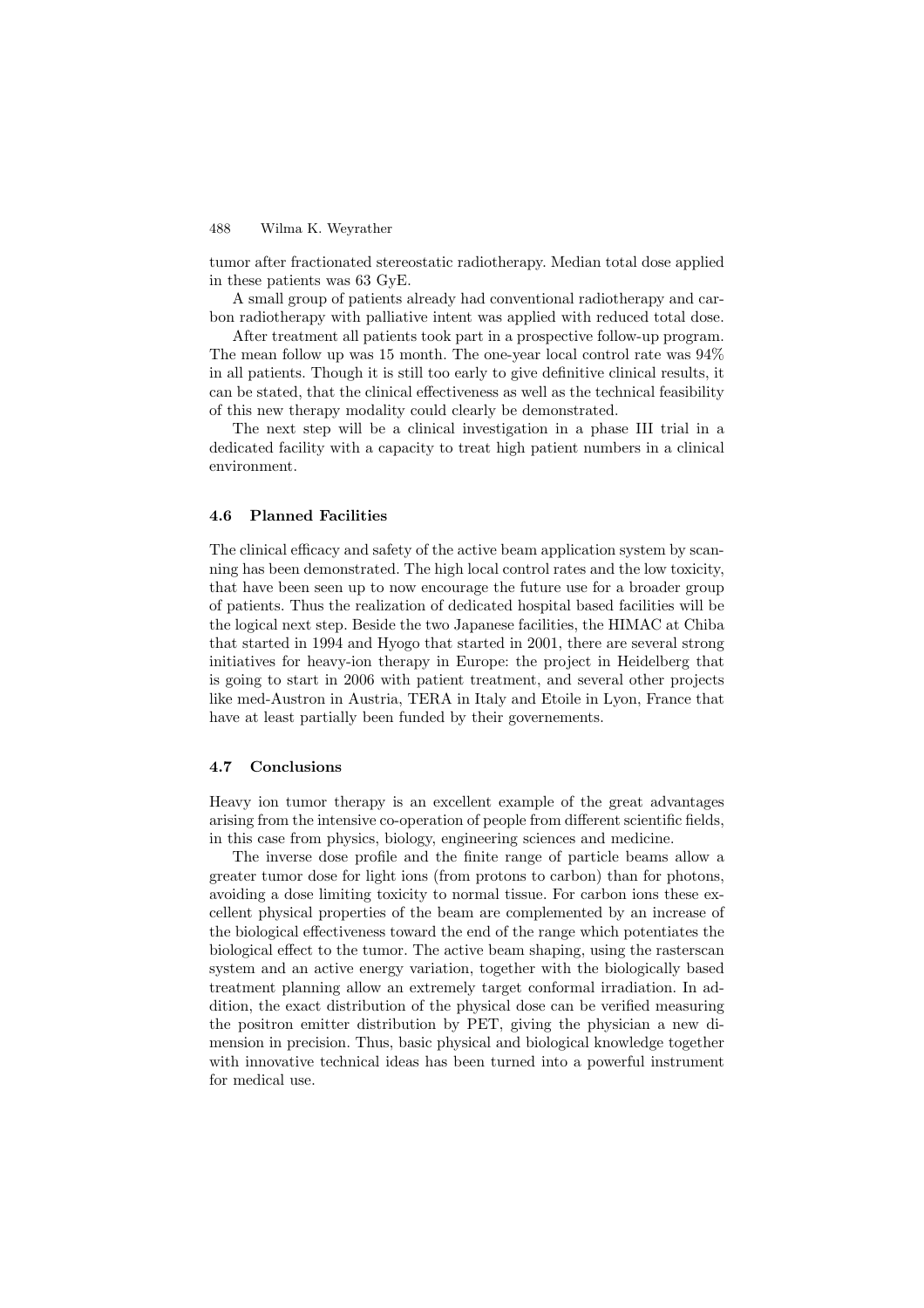tumor after fractionated stereostatic radiotherapy. Median total dose applied in these patients was 63 GyE.

A small group of patients already had conventional radiotherapy and carbon radiotherapy with palliative intent was applied with reduced total dose.

After treatment all patients took part in a prospective follow-up program. The mean follow up was 15 month. The one-year local control rate was 94% in all patients. Though it is still too early to give definitive clinical results, it can be stated, that the clinical effectiveness as well as the technical feasibility of this new therapy modality could clearly be demonstrated.

The next step will be a clinical investigation in a phase III trial in a dedicated facility with a capacity to treat high patient numbers in a clinical environment.

## **4.6 Planned Facilities**

The clinical efficacy and safety of the active beam application system by scanning has been demonstrated. The high local control rates and the low toxicity, that have been seen up to now encourage the future use for a broader group of patients. Thus the realization of dedicated hospital based facilities will be the logical next step. Beside the two Japanese facilities, the HIMAC at Chiba that started in 1994 and Hyogo that started in 2001, there are several strong initiatives for heavy-ion therapy in Europe: the project in Heidelberg that is going to start in 2006 with patient treatment, and several other projects like med-Austron in Austria, TERA in Italy and Etoile in Lyon, France that have at least partially been funded by their governements.

## **4.7 Conclusions**

Heavy ion tumor therapy is an excellent example of the great advantages arising from the intensive co-operation of people from different scientific fields, in this case from physics, biology, engineering sciences and medicine.

The inverse dose profile and the finite range of particle beams allow a greater tumor dose for light ions (from protons to carbon) than for photons, avoiding a dose limiting toxicity to normal tissue. For carbon ions these excellent physical properties of the beam are complemented by an increase of the biological effectiveness toward the end of the range which potentiates the biological effect to the tumor. The active beam shaping, using the rasterscan system and an active energy variation, together with the biologically based treatment planning allow an extremely target conformal irradiation. In addition, the exact distribution of the physical dose can be verified measuring the positron emitter distribution by PET, giving the physician a new dimension in precision. Thus, basic physical and biological knowledge together with innovative technical ideas has been turned into a powerful instrument for medical use.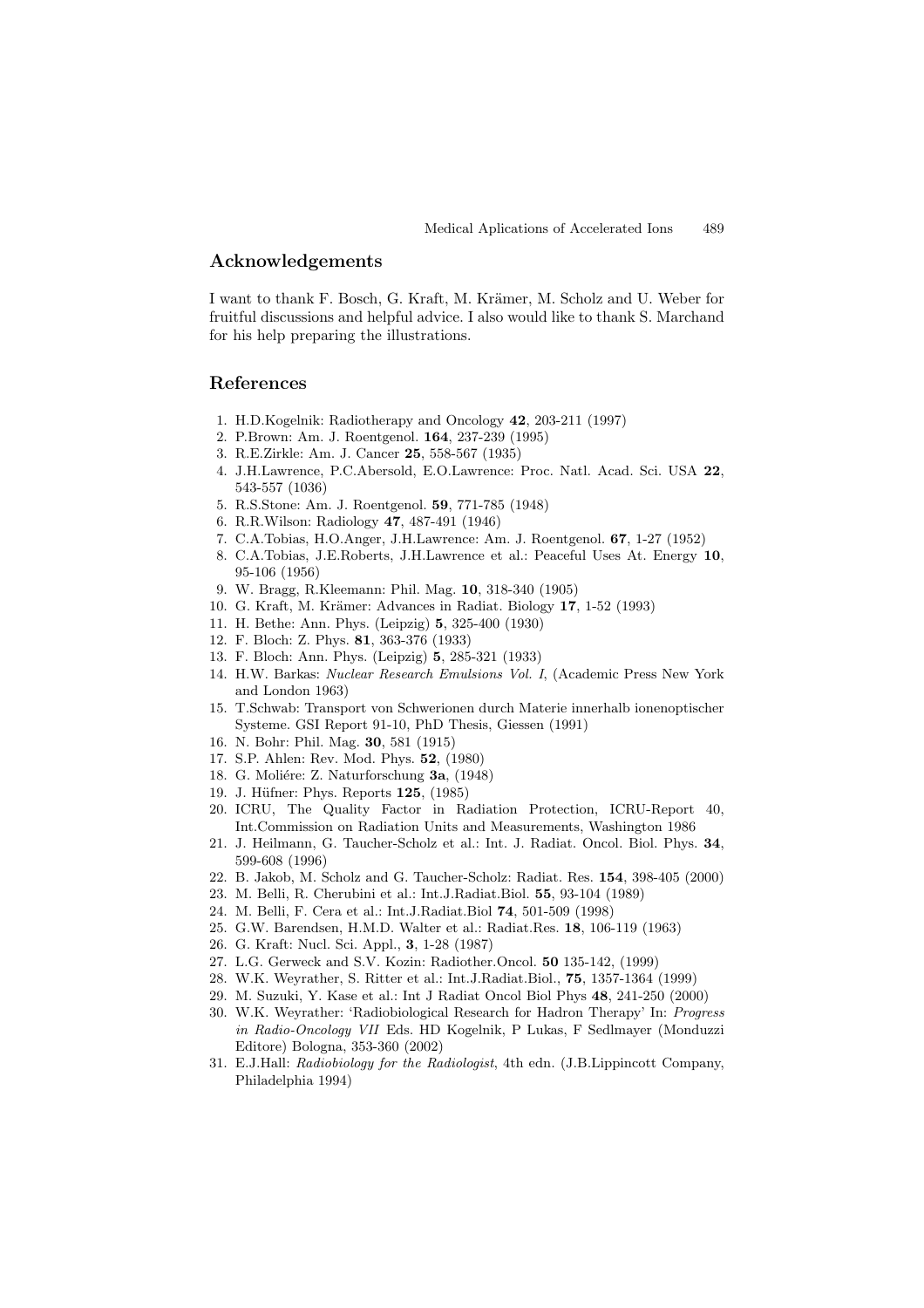## **Acknowledgements**

I want to thank F. Bosch, G. Kraft, M. Krämer, M. Scholz and U. Weber for fruitful discussions and helpful advice. I also would like to thank S. Marchand for his help preparing the illustrations.

# **References**

- 1. H.D.Kogelnik: Radiotherapy and Oncology **42**, 203-211 (1997)
- 2. P.Brown: Am. J. Roentgenol. **164**, 237-239 (1995)
- 3. R.E.Zirkle: Am. J. Cancer **25**, 558-567 (1935)
- 4. J.H.Lawrence, P.C.Abersold, E.O.Lawrence: Proc. Natl. Acad. Sci. USA **22**, 543-557 (1036)
- 5. R.S.Stone: Am. J. Roentgenol. **59**, 771-785 (1948)
- 6. R.R.Wilson: Radiology **47**, 487-491 (1946)
- 7. C.A.Tobias, H.O.Anger, J.H.Lawrence: Am. J. Roentgenol. **67**, 1-27 (1952)
- 8. C.A.Tobias, J.E.Roberts, J.H.Lawrence et al.: Peaceful Uses At. Energy **10**, 95-106 (1956)
- 9. W. Bragg, R.Kleemann: Phil. Mag. **10**, 318-340 (1905)
- 10. G. Kraft, M. Kr¨amer: Advances in Radiat. Biology **17**, 1-52 (1993)
- 11. H. Bethe: Ann. Phys. (Leipzig) **5**, 325-400 (1930)
- 12. F. Bloch: Z. Phys. **81**, 363-376 (1933)
- 13. F. Bloch: Ann. Phys. (Leipzig) **5**, 285-321 (1933)
- 14. H.W. Barkas: Nuclear Research Emulsions Vol. I, (Academic Press New York and London 1963)
- 15. T.Schwab: Transport von Schwerionen durch Materie innerhalb ionenoptischer Systeme. GSI Report 91-10, PhD Thesis, Giessen (1991)
- 16. N. Bohr: Phil. Mag. **30**, 581 (1915)
- 17. S.P. Ahlen: Rev. Mod. Phys. **52**, (1980)
- 18. G. Moli´ere: Z. Naturforschung **3a**, (1948)
- 19. J. H¨ufner: Phys. Reports **125**, (1985)
- 20. ICRU, The Quality Factor in Radiation Protection, ICRU-Report 40, Int.Commission on Radiation Units and Measurements, Washington 1986
- 21. J. Heilmann, G. Taucher-Scholz et al.: Int. J. Radiat. Oncol. Biol. Phys. **34**, 599-608 (1996)
- 22. B. Jakob, M. Scholz and G. Taucher-Scholz: Radiat. Res. **154**, 398-405 (2000)
- 23. M. Belli, R. Cherubini et al.: Int.J.Radiat.Biol. **55**, 93-104 (1989)
- 24. M. Belli, F. Cera et al.: Int.J.Radiat.Biol **74**, 501-509 (1998)
- 25. G.W. Barendsen, H.M.D. Walter et al.: Radiat.Res. **18**, 106-119 (1963)
- 26. G. Kraft: Nucl. Sci. Appl., **3**, 1-28 (1987)
- 27. L.G. Gerweck and S.V. Kozin: Radiother.Oncol. **50** 135-142, (1999)
- 28. W.K. Weyrather, S. Ritter et al.: Int.J.Radiat.Biol., **75**, 1357-1364 (1999)
- 29. M. Suzuki, Y. Kase et al.: Int J Radiat Oncol Biol Phys **48**, 241-250 (2000)
- 30. W.K. Weyrather: 'Radiobiological Research for Hadron Therapy' In: Progress in Radio-Oncology VII Eds. HD Kogelnik, P Lukas, F Sedlmayer (Monduzzi Editore) Bologna, 353-360 (2002)
- 31. E.J.Hall: Radiobiology for the Radiologist, 4th edn. (J.B.Lippincott Company, Philadelphia 1994)